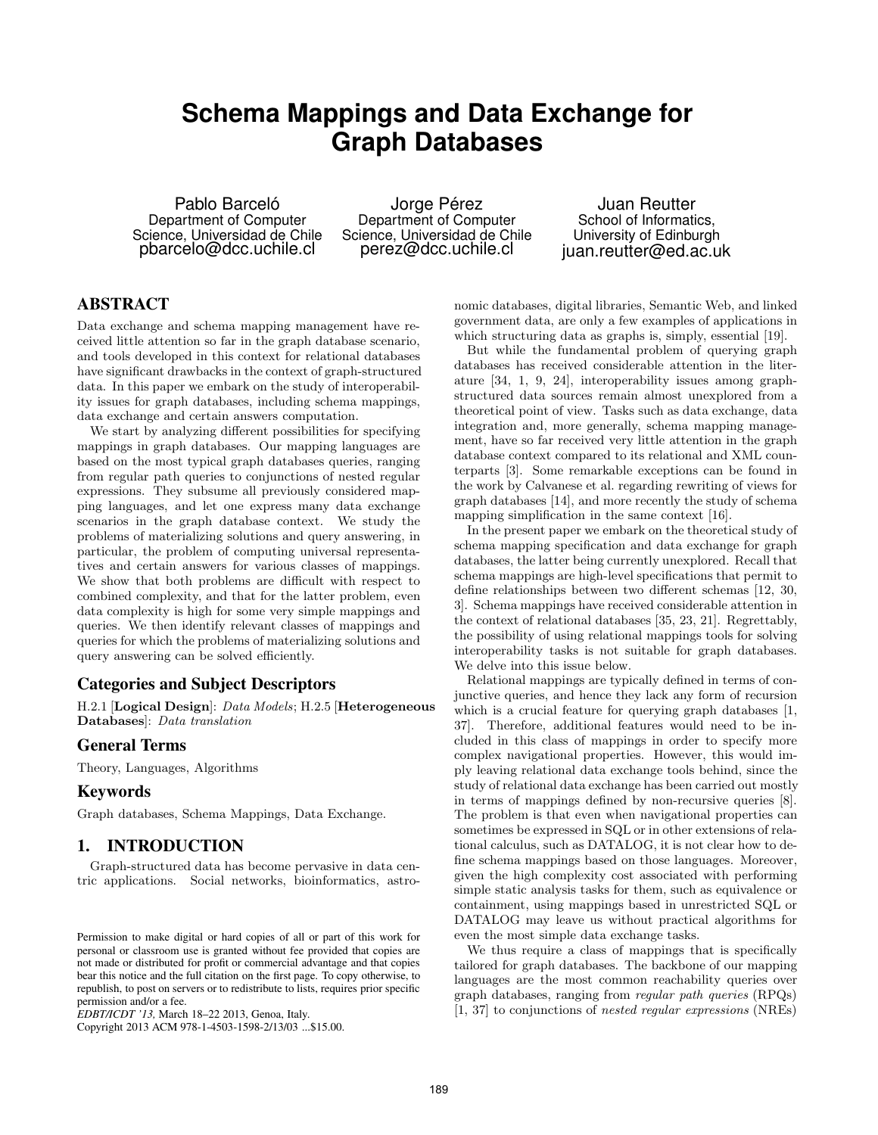# **Schema Mappings and Data Exchange for Graph Databases**

Pablo Barceló Department of Computer Science, Universidad de Chile pbarcelo@dcc.uchile.cl

Jorge Pérez Department of Computer Science, Universidad de Chile perez@dcc.uchile.cl

Juan Reutter School of Informatics, University of Edinburgh juan.reutter@ed.ac.uk

# ABSTRACT

Data exchange and schema mapping management have received little attention so far in the graph database scenario, and tools developed in this context for relational databases have significant drawbacks in the context of graph-structured data. In this paper we embark on the study of interoperability issues for graph databases, including schema mappings, data exchange and certain answers computation.

We start by analyzing different possibilities for specifying mappings in graph databases. Our mapping languages are based on the most typical graph databases queries, ranging from regular path queries to conjunctions of nested regular expressions. They subsume all previously considered mapping languages, and let one express many data exchange scenarios in the graph database context. We study the problems of materializing solutions and query answering, in particular, the problem of computing universal representatives and certain answers for various classes of mappings. We show that both problems are difficult with respect to combined complexity, and that for the latter problem, even data complexity is high for some very simple mappings and queries. We then identify relevant classes of mappings and queries for which the problems of materializing solutions and query answering can be solved efficiently.

#### Categories and Subject Descriptors

H.2.1 [Logical Design]: Data Models; H.2.5 [Heterogeneous Databases]: Data translation

#### General Terms

Theory, Languages, Algorithms

#### Keywords

Graph databases, Schema Mappings, Data Exchange.

## 1. INTRODUCTION

Graph-structured data has become pervasive in data centric applications. Social networks, bioinformatics, astro-

Copyright 2013 ACM 978-1-4503-1598-2/13/03 ...\$15.00.

nomic databases, digital libraries, Semantic Web, and linked government data, are only a few examples of applications in which structuring data as graphs is, simply, essential [19].

But while the fundamental problem of querying graph databases has received considerable attention in the literature [34, 1, 9, 24], interoperability issues among graphstructured data sources remain almost unexplored from a theoretical point of view. Tasks such as data exchange, data integration and, more generally, schema mapping management, have so far received very little attention in the graph database context compared to its relational and XML counterparts [3]. Some remarkable exceptions can be found in the work by Calvanese et al. regarding rewriting of views for graph databases [14], and more recently the study of schema mapping simplification in the same context [16].

In the present paper we embark on the theoretical study of schema mapping specification and data exchange for graph databases, the latter being currently unexplored. Recall that schema mappings are high-level specifications that permit to define relationships between two different schemas [12, 30, 3]. Schema mappings have received considerable attention in the context of relational databases [35, 23, 21]. Regrettably, the possibility of using relational mappings tools for solving interoperability tasks is not suitable for graph databases. We delve into this issue below.

Relational mappings are typically defined in terms of conjunctive queries, and hence they lack any form of recursion which is a crucial feature for querying graph databases [1, 37]. Therefore, additional features would need to be included in this class of mappings in order to specify more complex navigational properties. However, this would imply leaving relational data exchange tools behind, since the study of relational data exchange has been carried out mostly in terms of mappings defined by non-recursive queries [8]. The problem is that even when navigational properties can sometimes be expressed in SQL or in other extensions of relational calculus, such as DATALOG, it is not clear how to define schema mappings based on those languages. Moreover, given the high complexity cost associated with performing simple static analysis tasks for them, such as equivalence or containment, using mappings based in unrestricted SQL or DATALOG may leave us without practical algorithms for even the most simple data exchange tasks.

We thus require a class of mappings that is specifically tailored for graph databases. The backbone of our mapping languages are the most common reachability queries over graph databases, ranging from regular path queries (RPQs) [1, 37] to conjunctions of nested regular expressions (NREs)

Permission to make digital or hard copies of all or part of this work for personal or classroom use is granted without fee provided that copies are not made or distributed for profit or commercial advantage and that copies bear this notice and the full citation on the first page. To copy otherwise, to republish, to post on servers or to redistribute to lists, requires prior specific permission and/or a fee.

*EDBT/ICDT '13,* March 18–22 2013, Genoa, Italy.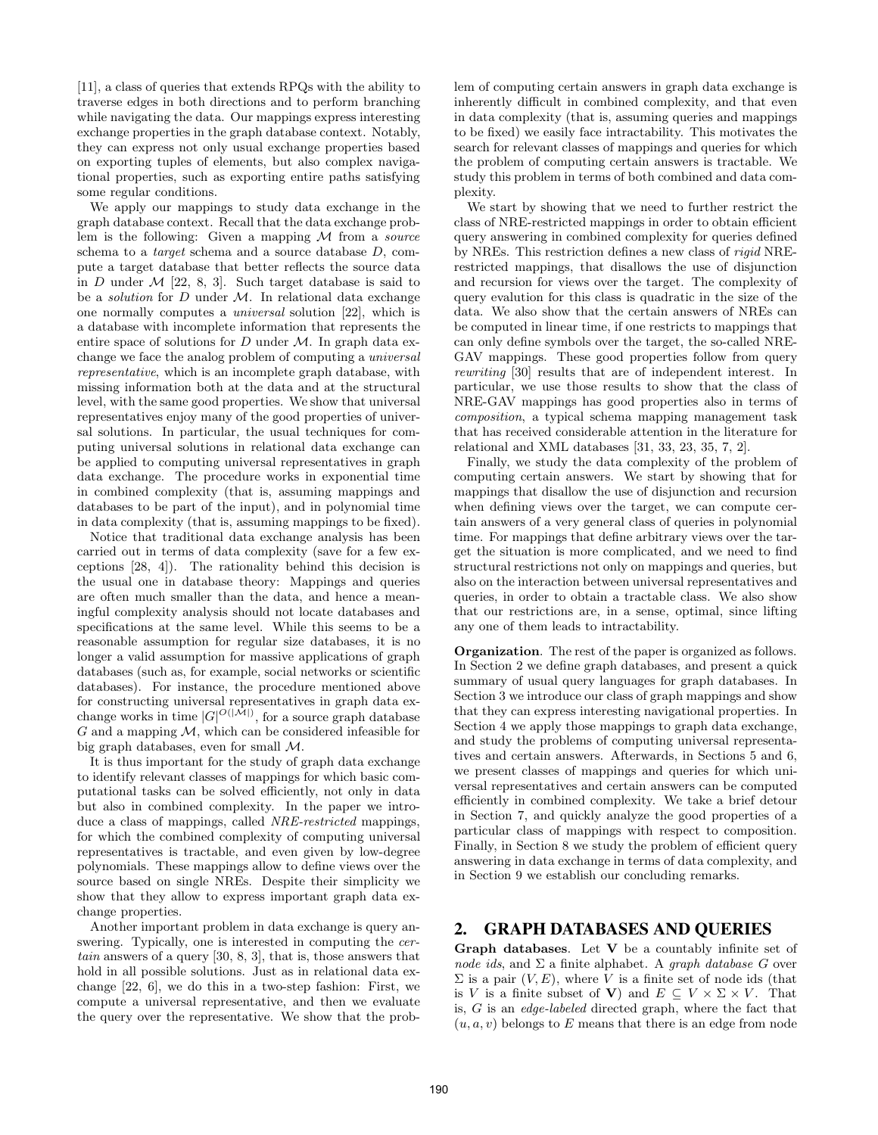[11], a class of queries that extends RPQs with the ability to traverse edges in both directions and to perform branching while navigating the data. Our mappings express interesting exchange properties in the graph database context. Notably, they can express not only usual exchange properties based on exporting tuples of elements, but also complex navigational properties, such as exporting entire paths satisfying some regular conditions.

We apply our mappings to study data exchange in the graph database context. Recall that the data exchange problem is the following: Given a mapping  $M$  from a *source* schema to a target schema and a source database D, compute a target database that better reflects the source data in  $D$  under  $\mathcal{M}$  [22, 8, 3]. Such target database is said to be a *solution* for  $D$  under  $M$ . In relational data exchange one normally computes a universal solution [22], which is a database with incomplete information that represents the entire space of solutions for  $D$  under  $M$ . In graph data exchange we face the analog problem of computing a universal representative, which is an incomplete graph database, with missing information both at the data and at the structural level, with the same good properties. We show that universal representatives enjoy many of the good properties of universal solutions. In particular, the usual techniques for computing universal solutions in relational data exchange can be applied to computing universal representatives in graph data exchange. The procedure works in exponential time in combined complexity (that is, assuming mappings and databases to be part of the input), and in polynomial time in data complexity (that is, assuming mappings to be fixed).

Notice that traditional data exchange analysis has been carried out in terms of data complexity (save for a few exceptions [28, 4]). The rationality behind this decision is the usual one in database theory: Mappings and queries are often much smaller than the data, and hence a meaningful complexity analysis should not locate databases and specifications at the same level. While this seems to be a reasonable assumption for regular size databases, it is no longer a valid assumption for massive applications of graph databases (such as, for example, social networks or scientific databases). For instance, the procedure mentioned above for constructing universal representatives in graph data exchange works in time  $|G|^{O(|\mathcal{M}|)}$ , for a source graph database  $G$  and a mapping  $M$ , which can be considered infeasible for big graph databases, even for small M.

It is thus important for the study of graph data exchange to identify relevant classes of mappings for which basic computational tasks can be solved efficiently, not only in data but also in combined complexity. In the paper we introduce a class of mappings, called NRE-restricted mappings, for which the combined complexity of computing universal representatives is tractable, and even given by low-degree polynomials. These mappings allow to define views over the source based on single NREs. Despite their simplicity we show that they allow to express important graph data exchange properties.

Another important problem in data exchange is query answering. Typically, one is interested in computing the certain answers of a query [30, 8, 3], that is, those answers that hold in all possible solutions. Just as in relational data exchange [22, 6], we do this in a two-step fashion: First, we compute a universal representative, and then we evaluate the query over the representative. We show that the problem of computing certain answers in graph data exchange is inherently difficult in combined complexity, and that even in data complexity (that is, assuming queries and mappings to be fixed) we easily face intractability. This motivates the search for relevant classes of mappings and queries for which the problem of computing certain answers is tractable. We study this problem in terms of both combined and data complexity.

We start by showing that we need to further restrict the class of NRE-restricted mappings in order to obtain efficient query answering in combined complexity for queries defined by NREs. This restriction defines a new class of rigid NRErestricted mappings, that disallows the use of disjunction and recursion for views over the target. The complexity of query evalution for this class is quadratic in the size of the data. We also show that the certain answers of NREs can be computed in linear time, if one restricts to mappings that can only define symbols over the target, the so-called NRE-GAV mappings. These good properties follow from query rewriting [30] results that are of independent interest. In particular, we use those results to show that the class of NRE-GAV mappings has good properties also in terms of composition, a typical schema mapping management task that has received considerable attention in the literature for relational and XML databases [31, 33, 23, 35, 7, 2].

Finally, we study the data complexity of the problem of computing certain answers. We start by showing that for mappings that disallow the use of disjunction and recursion when defining views over the target, we can compute certain answers of a very general class of queries in polynomial time. For mappings that define arbitrary views over the target the situation is more complicated, and we need to find structural restrictions not only on mappings and queries, but also on the interaction between universal representatives and queries, in order to obtain a tractable class. We also show that our restrictions are, in a sense, optimal, since lifting any one of them leads to intractability.

Organization. The rest of the paper is organized as follows. In Section 2 we define graph databases, and present a quick summary of usual query languages for graph databases. In Section 3 we introduce our class of graph mappings and show that they can express interesting navigational properties. In Section 4 we apply those mappings to graph data exchange, and study the problems of computing universal representatives and certain answers. Afterwards, in Sections 5 and 6, we present classes of mappings and queries for which universal representatives and certain answers can be computed efficiently in combined complexity. We take a brief detour in Section 7, and quickly analyze the good properties of a particular class of mappings with respect to composition. Finally, in Section 8 we study the problem of efficient query answering in data exchange in terms of data complexity, and in Section 9 we establish our concluding remarks.

#### 2. GRAPH DATABASES AND QUERIES

Graph databases. Let V be a countably infinite set of node ids, and  $\Sigma$  a finite alphabet. A graph database G over  $\Sigma$  is a pair  $(V, E)$ , where V is a finite set of node ids (that is V is a finite subset of V) and  $E \subseteq V \times \Sigma \times V$ . That is, G is an edge-labeled directed graph, where the fact that  $(u, a, v)$  belongs to E means that there is an edge from node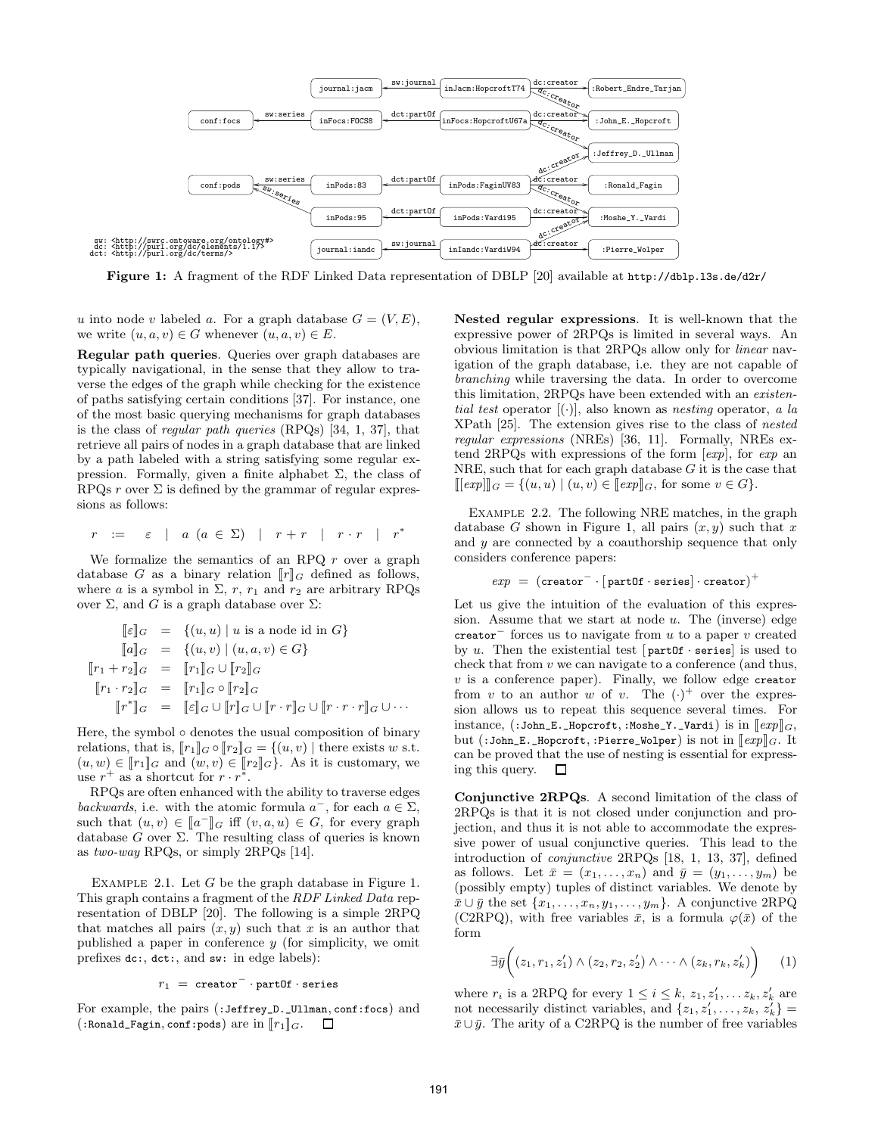

Figure 1: A fragment of the RDF Linked Data representation of DBLP [20] available at http://dblp.l3s.de/d2r/

u into node v labeled a. For a graph database  $G = (V, E)$ , we write  $(u, a, v) \in G$  whenever  $(u, a, v) \in E$ .

Regular path queries. Queries over graph databases are typically navigational, in the sense that they allow to traverse the edges of the graph while checking for the existence of paths satisfying certain conditions [37]. For instance, one of the most basic querying mechanisms for graph databases is the class of regular path queries (RPQs) [34, 1, 37], that retrieve all pairs of nodes in a graph database that are linked by a path labeled with a string satisfying some regular expression. Formally, given a finite alphabet  $\Sigma$ , the class of RPQs r over  $\Sigma$  is defined by the grammar of regular expressions as follows:

$$
r := \varepsilon \mid a \ (a \in \Sigma) \mid r + r \mid r \cdot r \mid r^*
$$

We formalize the semantics of an RPQ  $r$  over a graph database G as a binary relation  $\llbracket r \rrbracket_G$  defined as follows, where a is a symbol in  $\Sigma$ , r, r<sub>1</sub> and r<sub>2</sub> are arbitrary RPQs over  $\Sigma$ , and G is a graph database over  $\Sigma$ :

$$
\begin{aligned}\n\llbracket \varepsilon \rrbracket_G &= \{ (u, u) \mid u \text{ is a node id in } G \} \\
\llbracket a \rrbracket_G &= \{ (u, v) \mid (u, a, v) \in G \} \\
\llbracket r_1 + r_2 \rrbracket_G &= \llbracket r_1 \rrbracket_G \cup \llbracket r_2 \rrbracket_G \\
\llbracket r_1 \cdots r_2 \rrbracket_G &= \llbracket r_1 \rrbracket_G \cup \llbracket r \rrbracket_G \cup \llbracket r \cdot r \rrbracket_G \cup \llbracket r \cdot r \cdot r \rrbracket_G \cup \cdots\n\end{aligned}
$$

Here, the symbol ◦ denotes the usual composition of binary relations, that is,  $\llbracket r_1 \rrbracket_G \circ \llbracket r_2 \rrbracket_G = \{(u, v) \mid \text{there exists } w \text{ s.t.} \}$  $(u, w) \in [r_1]_G$  and  $(w, v) \in [r_2]_G$ . As it is customary, we use  $r^+$  as a shortcut for  $r \cdot r^*$ .

RPQs are often enhanced with the ability to traverse edges backwards, i.e. with the atomic formula  $a^-$ , for each  $a \in \Sigma$ , such that  $(u, v) \in [a^-]_G$  iff  $(v, a, u) \in G$ , for every graph database G over  $\Sigma$ . The resulting class of queries is known as two-way RPQs, or simply 2RPQs [14].

EXAMPLE 2.1. Let  $G$  be the graph database in Figure 1. This graph contains a fragment of the RDF Linked Data representation of DBLP [20]. The following is a simple 2RPQ that matches all pairs  $(x, y)$  such that x is an author that published a paper in conference  $y$  (for simplicity, we omit prefixes dc:, dct:, and sw: in edge labels):

$$
r_1 = \text{ creator}^- \cdot \text{partOf} \cdot \text{series}
$$

For example, the pairs (:Jeffrey\_D.\_Ullman, conf:focs) and (:Ronald\_Fagin, conf:pods) are in  $[\![r_1]\!]_G$ .  $\Box$ 

Nested regular expressions. It is well-known that the expressive power of 2RPQs is limited in several ways. An obvious limitation is that 2RPQs allow only for linear navigation of the graph database, i.e. they are not capable of branching while traversing the data. In order to overcome this limitation, 2RPQs have been extended with an existential test operator  $[(\cdot)]$ , also known as nesting operator, a la XPath [25]. The extension gives rise to the class of nested regular expressions (NREs) [36, 11]. Formally, NREs extend 2RPQs with expressions of the form  $[exp]$ , for  $exp$  and NRE, such that for each graph database  $G$  it is the case that  $[[exp]]_G = \{(u, u) \mid (u, v) \in [exp]_G, \text{ for some } v \in G\}.$ 

Example 2.2. The following NRE matches, in the graph database G shown in Figure 1, all pairs  $(x, y)$  such that x and y are connected by a coauthorship sequence that only considers conference papers:

$$
\mathit{exp}~ =~ \left(\texttt{creation}^- \cdot \left[\texttt{partOf} \cdot \texttt{series}\right] \cdot \texttt{creation}\right)^+
$$

Let us give the intuition of the evaluation of this expression. Assume that we start at node  $u$ . The (inverse) edge creator<sup>−</sup> forces us to navigate from  $u$  to a paper  $v$  created by u. Then the existential test  $\lceil$  partOf · series is used to check that from v we can navigate to a conference (and thus,  $v$  is a conference paper). Finally, we follow edge creator from v to an author w of v. The  $(\cdot)^+$  over the expression allows us to repeat this sequence several times. For instance, (:John\_E.\_Hopcroft, :Moshe\_Y.\_Vardi) is in  $[exp]_G$ , but (:John\_E.\_Hopcroft, :Pierre\_Wolper) is not in  $[\![exp]\!]_G$ . It can be proved that the use of nesting is essential for expressing this query. D

Conjunctive 2RPQs. A second limitation of the class of 2RPQs is that it is not closed under conjunction and projection, and thus it is not able to accommodate the expressive power of usual conjunctive queries. This lead to the introduction of conjunctive 2RPQs [18, 1, 13, 37], defined as follows. Let  $\bar{x} = (x_1, \ldots, x_n)$  and  $\bar{y} = (y_1, \ldots, y_m)$  be (possibly empty) tuples of distinct variables. We denote by  $\bar{x} \cup \bar{y}$  the set  $\{x_1, \ldots, x_n, y_1, \ldots, y_m\}$ . A conjunctive 2RPQ (C2RPQ), with free variables  $\bar{x}$ , is a formula  $\varphi(\bar{x})$  of the form

$$
\exists \bar{y}\bigg((z_1,r_1,z'_1)\wedge(z_2,r_2,z'_2)\wedge\cdots\wedge(z_k,r_k,z'_k)\bigg)\qquad(1)
$$

where  $r_i$  is a 2RPQ for every  $1 \leq i \leq k$ ,  $z_1, z'_1, \ldots z_k, z'_k$  are not necessarily distinct variables, and  $\{z_1, z'_1, \ldots, z_k, z'_k\} =$  $\bar{x} \cup \bar{y}$ . The arity of a C2RPQ is the number of free variables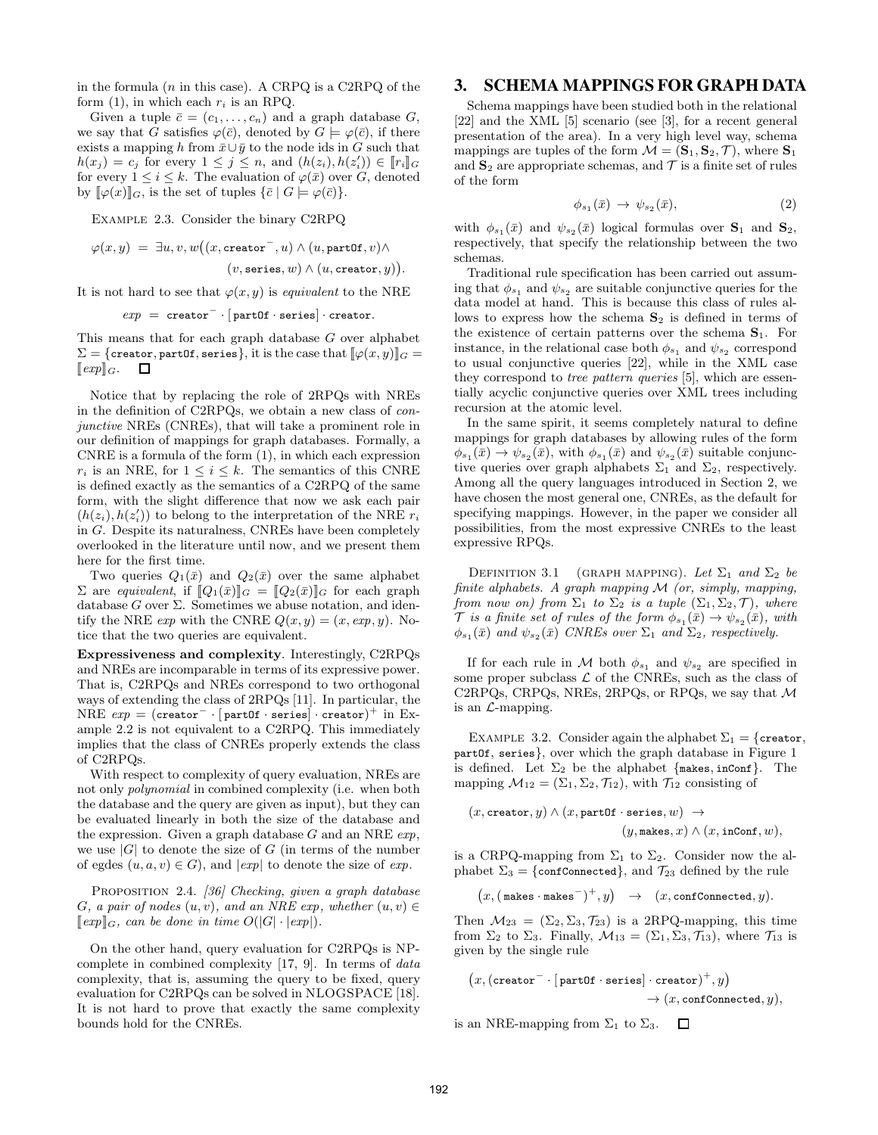in the formula  $(n \text{ in this case})$ . A CRPQ is a C2RPQ of the form (1), in which each  $r_i$  is an RPQ.

Given a tuple  $\bar{c} = (c_1, \ldots, c_n)$  and a graph database  $G$ , we say that G satisfies  $\varphi(\bar{c})$ , denoted by  $G \models \varphi(\bar{c})$ , if there exists a mapping h from  $\bar{x} \cup \bar{y}$  to the node ids in G such that  $h(x_j) = c_j$  for every  $1 \leq j \leq n$ , and  $(h(z_i), h(z'_i)) \in [r_i]_G$ <br>for every  $1 \leq i \leq k$ . The evaluation of  $u(\bar{x})$  away  $G$  denoted for every  $1 \leq i \leq k$ . The evaluation of  $\varphi(\bar{x})$  over G, denoted by  $\llbracket \varphi(x) \rrbracket_G$ , is the set of tuples  $\{\bar{c} \mid G \models \varphi(\bar{c})\}.$ 

Example 2.3. Consider the binary C2RPQ

$$
\begin{array}{l} \varphi(x,y) \ = \ \exists u,v,w \bigl( (x, \texttt{createor}^-,u) \wedge (u,\texttt{partOf},v) \wedge \\[1mm] (v,\texttt{series},w) \wedge (u,\texttt{createor},y) \bigr). \end{array}
$$

It is not hard to see that  $\varphi(x, y)$  is equivalent to the NRE

$$
exp = \text{ceator}^- \cdot [\text{partOf} \cdot \text{series}] \cdot \text{creator}.
$$

This means that for each graph database G over alphabet  $\Sigma = \{\text{ceator}, \text{partOf}, \text{series}\},$  it is the case that  $[\![\varphi(x, y)]\!]_G =$  $[exp]_G. \square$ 

Notice that by replacing the role of 2RPQs with NREs in the definition of C2RPQs, we obtain a new class of conjunctive NREs (CNREs), that will take a prominent role in our definition of mappings for graph databases. Formally, a CNRE is a formula of the form (1), in which each expression  $r_i$  is an NRE, for  $1 \leq i \leq k$ . The semantics of this CNRE is defined exactly as the semantics of a C2RPQ of the same form, with the slight difference that now we ask each pair  $(h(z_i), h(z'_i))$  to belong to the interpretation of the NRE  $r_i$ in G. Despite its naturalness, CNREs have been completely overlooked in the literature until now, and we present them here for the first time.

Two queries  $Q_1(\bar{x})$  and  $Q_2(\bar{x})$  over the same alphabet Σ are equivalent, if  $[Q_1(\bar{x})]_G = [Q_2(\bar{x})]_G$  for each graph database G over  $\Sigma$ . Sometimes we abuse notation, and identify the NRE exp with the CNRE  $Q(x, y) = (x, exp, y)$ . Notice that the two queries are equivalent.

Expressiveness and complexity. Interestingly, C2RPQs and NREs are incomparable in terms of its expressive power. That is, C2RPQs and NREs correspond to two orthogonal ways of extending the class of 2RPQs [11]. In particular, the  $NRE \, \textit{exp} = (\texttt{creation}^- \cdot [\texttt{partOf} \cdot \texttt{series}] \cdot \texttt{creation})^+ \, \text{ in } \, \text{Ex-}$ ample 2.2 is not equivalent to a C2RPQ. This immediately implies that the class of CNREs properly extends the class of C2RPQs.

With respect to complexity of query evaluation, NREs are not only polynomial in combined complexity (i.e. when both the database and the query are given as input), but they can be evaluated linearly in both the size of the database and the expression. Given a graph database  $G$  and an NRE  $exp$ , we use  $|G|$  to denote the size of G (in terms of the number of egdes  $(u, a, v) \in G$ , and  $|exp|$  to denote the size of  $exp$ .

PROPOSITION 2.4. [36] Checking, given a graph database G, a pair of nodes  $(u, v)$ , and an NRE exp, whether  $(u, v) \in$  $\llbracket exp \rrbracket_G$ , can be done in time  $O(|G| \cdot |exp|)$ .

On the other hand, query evaluation for C2RPQs is NPcomplete in combined complexity [17, 9]. In terms of data complexity, that is, assuming the query to be fixed, query evaluation for C2RPQs can be solved in NLOGSPACE [18]. It is not hard to prove that exactly the same complexity bounds hold for the CNREs.

### 3. SCHEMA MAPPINGS FOR GRAPH DATA

Schema mappings have been studied both in the relational [22] and the XML [5] scenario (see [3], for a recent general presentation of the area). In a very high level way, schema mappings are tuples of the form  $\mathcal{M} = (\mathbf{S}_1, \mathbf{S}_2, \mathcal{T})$ , where  $\mathbf{S}_1$ and  $\mathbf{S}_2$  are appropriate schemas, and  $\mathcal T$  is a finite set of rules of the form

$$
\phi_{s_1}(\bar{x}) \to \psi_{s_2}(\bar{x}), \tag{2}
$$

with  $\phi_{s_1}(\bar{x})$  and  $\psi_{s_2}(\bar{x})$  logical formulas over  $S_1$  and  $S_2$ , respectively, that specify the relationship between the two schemas.

Traditional rule specification has been carried out assuming that  $\phi_{s_1}$  and  $\psi_{s_2}$  are suitable conjunctive queries for the data model at hand. This is because this class of rules allows to express how the schema  $S_2$  is defined in terms of the existence of certain patterns over the schema  $S_1$ . For instance, in the relational case both  $\phi_{s_1}$  and  $\psi_{s_2}$  correspond to usual conjunctive queries [22], while in the XML case they correspond to tree pattern queries [5], which are essentially acyclic conjunctive queries over XML trees including recursion at the atomic level.

In the same spirit, it seems completely natural to define mappings for graph databases by allowing rules of the form  $\phi_{s_1}(\bar{x}) \to \psi_{s_2}(\bar{x})$ , with  $\phi_{s_1}(\bar{x})$  and  $\psi_{s_2}(\bar{x})$  suitable conjunctive queries over graph alphabets  $\Sigma_1$  and  $\Sigma_2$ , respectively. Among all the query languages introduced in Section 2, we have chosen the most general one, CNREs, as the default for specifying mappings. However, in the paper we consider all possibilities, from the most expressive CNREs to the least expressive RPQs.

DEFINITION 3.1 (GRAPH MAPPING). Let  $\Sigma_1$  and  $\Sigma_2$  be finite alphabets. A graph mapping M (or, simply, mapping, from now on) from  $\Sigma_1$  to  $\Sigma_2$  is a tuple  $(\Sigma_1, \Sigma_2, \mathcal{T})$ , where  $\mathcal T$  is a finite set of rules of the form  $\phi_{s_1}(\bar x) \to \psi_{s_2}(\bar x)$ , with  $\phi_{s_1}(\bar{x})$  and  $\psi_{s_2}(\bar{x})$  CNREs over  $\Sigma_1$  and  $\Sigma_2$ , respectively.

If for each rule in M both  $\phi_{s_1}$  and  $\psi_{s_2}$  are specified in some proper subclass  $\mathcal L$  of the CNREs, such as the class of C2RPQs, CRPQs, NREs, 2RPQs, or RPQs, we say that M is an  $\mathcal{L}$ -mapping.

EXAMPLE 3.2. Consider again the alphabet  $\Sigma_1 = \{$  creator, partOf, series}, over which the graph database in Figure 1 is defined. Let  $\Sigma_2$  be the alphabet {makes, inConf}. The mapping  $\mathcal{M}_{12} = (\Sigma_1, \Sigma_2, \mathcal{T}_{12})$ , with  $\mathcal{T}_{12}$  consisting of

$$
(x, \texttt{createor}, y) \land (x, \texttt{partOf} \cdot \texttt{series}, w) \rightarrow \\ (y, \texttt{makes}, x) \land (x, \texttt{inConf}, w),
$$

is a CRPQ-mapping from  $\Sigma_1$  to  $\Sigma_2$ . Consider now the alphabet  $\Sigma_3 = \{\text{confConnected}\}\$ , and  $\mathcal{T}_{23}$  defined by the rule

 $\left(x, \left(\begin{smallmatrix} \texttt{makes} & \texttt{makes}^- \end{smallmatrix}\right)^+, y\right) \quad \rightarrow \quad (x, \texttt{confConnected}, y).$ 

Then  $M_{23} = (\Sigma_2, \Sigma_3, \mathcal{T}_{23})$  is a 2RPQ-mapping, this time from  $\Sigma_2$  to  $\Sigma_3$ . Finally,  $\mathcal{M}_{13} = (\Sigma_1, \Sigma_3, \mathcal{T}_{13})$ , where  $\mathcal{T}_{13}$  is given by the single rule

$$
\begin{aligned} \left(x, \left(\text{createor}^- \cdot \left[\text{partOf}\cdot \text{series}\right]\cdot \text{createor}\right)^+, y\right) \\ \to \left(x, \text{confConnected}, y\right), \end{aligned}
$$

is an NRE-mapping from  $\Sigma_1$  to  $\Sigma_3$ .  $\Box$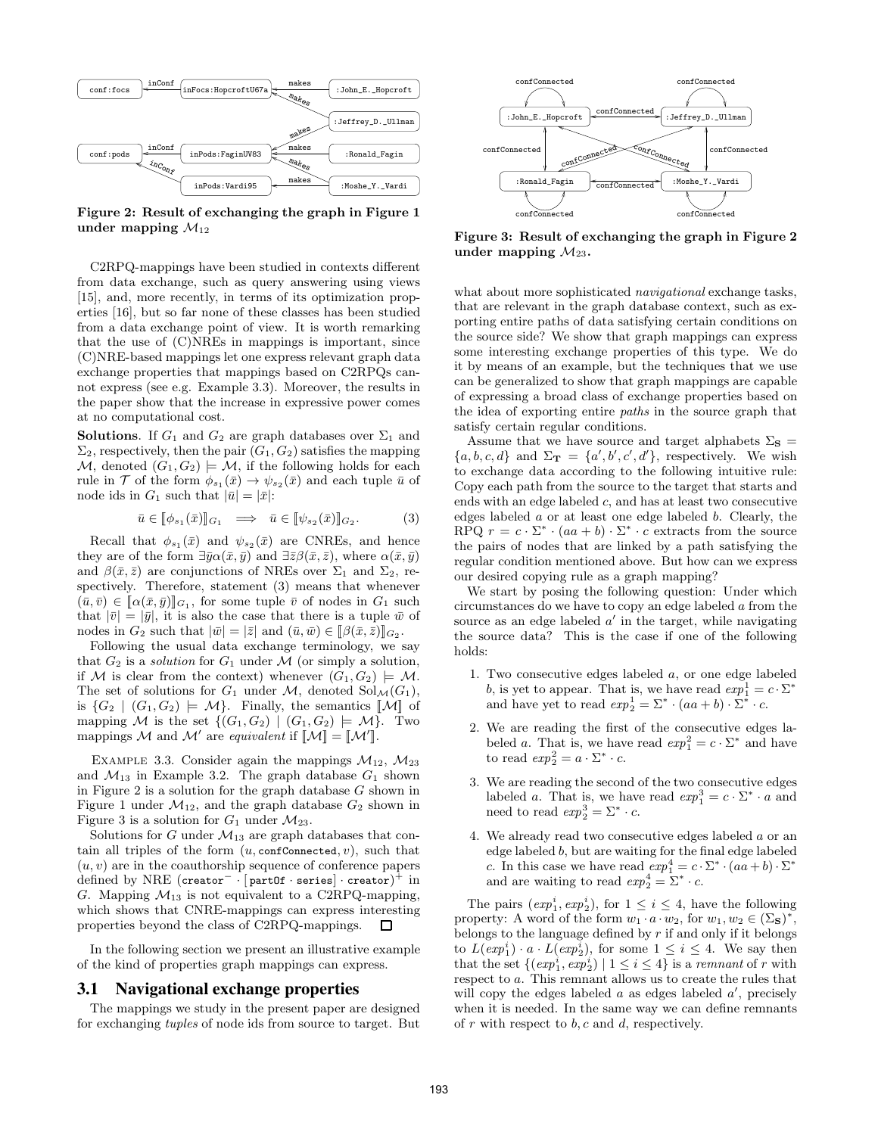

Figure 2: Result of exchanging the graph in Figure 1 under mapping  $M_{12}$ 

C2RPQ-mappings have been studied in contexts different from data exchange, such as query answering using views [15], and, more recently, in terms of its optimization properties [16], but so far none of these classes has been studied from a data exchange point of view. It is worth remarking that the use of (C)NREs in mappings is important, since (C)NRE-based mappings let one express relevant graph data exchange properties that mappings based on C2RPQs cannot express (see e.g. Example 3.3). Moreover, the results in the paper show that the increase in expressive power comes at no computational cost.

**Solutions.** If  $G_1$  and  $G_2$  are graph databases over  $\Sigma_1$  and  $\Sigma_2$ , respectively, then the pair  $(G_1, G_2)$  satisfies the mapping M, denoted  $(G_1, G_2) \models M$ , if the following holds for each rule in  $\mathcal T$  of the form  $\phi_{s_1}(\bar x) \to \psi_{s_2}(\bar x)$  and each tuple  $\bar u$  of node ids in  $G_1$  such that  $|\bar{u}| = |\bar{x}|$ :

$$
\bar{u} \in [\![\phi_{s_1}(\bar{x})]\!]_{G_1} \implies \bar{u} \in [\![\psi_{s_2}(\bar{x})]\!]_{G_2}.
$$
 (3)

Recall that  $\phi_{s_1}(\bar{x})$  and  $\psi_{s_2}(\bar{x})$  are CNREs, and hence they are of the form  $\exists \bar{y}\alpha(\bar{x},\bar{y})$  and  $\exists \bar{z}\beta(\bar{x},\bar{z})$ , where  $\alpha(\bar{x},\bar{y})$ and  $\beta(\bar{x}, \bar{z})$  are conjunctions of NREs over  $\Sigma_1$  and  $\Sigma_2$ , respectively. Therefore, statement (3) means that whenever  $(\bar{u}, \bar{v}) \in [\![\alpha(\bar{x}, \bar{y})]\!]_{G_1}$ , for some tuple  $\bar{v}$  of nodes in  $G_1$  such that  $|\bar{v}| = |\bar{y}|$ , it is also the case that there is a tuple  $\bar{w}$  of nodes in  $G_2$  such that  $|\bar{w}| = |\bar{z}|$  and  $(\bar{u}, \bar{w}) \in [\beta(\bar{x}, \bar{z})]_{G_2}$ .

Following the usual data exchange terminology, we say that  $G_2$  is a *solution* for  $G_1$  under M (or simply a solution, if M is clear from the context) whenever  $(G_1, G_2) \models M$ . The set of solutions for  $G_1$  under M, denoted  $Sol_{\mathcal{M}}(G_1)$ , is  $\{G_2 \mid (G_1, G_2) \models \mathcal{M}\}\$ . Finally, the semantics  $\llbracket \mathcal{M} \rrbracket$  of mapping M is the set  $\{(G_1, G_2) | (G_1, G_2) \models M\}$ . Two mappings M and M' are *equivalent* if  $[\![M]\!] = [\![M']\!]$ .

EXAMPLE 3.3. Consider again the mappings  $\mathcal{M}_{12}$ ,  $\mathcal{M}_{23}$ and  $\mathcal{M}_{13}$  in Example 3.2. The graph database  $G_1$  shown in Figure 2 is a solution for the graph database  $G$  shown in Figure 1 under  $\mathcal{M}_{12}$ , and the graph database  $G_2$  shown in Figure 3 is a solution for  $G_1$  under  $M_{23}$ .

Solutions for G under  $\mathcal{M}_{13}$  are graph databases that contain all triples of the form  $(u, \text{confConnected}, v)$ , such that  $(u, v)$  are in the coauthorship sequence of conference papers defined by NRE (creator<sup>−</sup> · [ partOf · series] · creator) <sup>+</sup> in G. Mapping  $\mathcal{M}_{13}$  is not equivalent to a C2RPQ-mapping, which shows that CNRE-mappings can express interesting properties beyond the class of C2RPQ-mappings.  $\Box$ 

In the following section we present an illustrative example of the kind of properties graph mappings can express.

#### 3.1 Navigational exchange properties

The mappings we study in the present paper are designed for exchanging tuples of node ids from source to target. But



Figure 3: Result of exchanging the graph in Figure 2 under mapping  $M_{23}$ .

what about more sophisticated *navigational* exchange tasks. that are relevant in the graph database context, such as exporting entire paths of data satisfying certain conditions on the source side? We show that graph mappings can express some interesting exchange properties of this type. We do it by means of an example, but the techniques that we use can be generalized to show that graph mappings are capable of expressing a broad class of exchange properties based on the idea of exporting entire paths in the source graph that satisfy certain regular conditions.

Assume that we have source and target alphabets  $\Sigma$ <sub>S</sub> =  $\{a, b, c, d\}$  and  $\Sigma_{\mathbf{T}} = \{a', b', c', d'\}$ , respectively. We wish to exchange data according to the following intuitive rule: Copy each path from the source to the target that starts and ends with an edge labeled  $c$ , and has at least two consecutive edges labeled a or at least one edge labeled b. Clearly, the RPQ  $r = c \cdot \Sigma^* \cdot (aa + b) \cdot \Sigma^* \cdot c$  extracts from the source the pairs of nodes that are linked by a path satisfying the regular condition mentioned above. But how can we express our desired copying rule as a graph mapping?

We start by posing the following question: Under which circumstances do we have to copy an edge labeled a from the source as an edge labeled  $a'$  in the target, while navigating the source data? This is the case if one of the following holds:

- 1. Two consecutive edges labeled a, or one edge labeled b, is yet to appear. That is, we have read  $exp_1^1 = c \cdot \Sigma^*$ <br>and have yet to read  $exp_2^1 = \Sigma^* \cdot (aa + b) \cdot \Sigma^* \cdot c$ .
- 2. We are reading the first of the consecutive edges labeled a. That is, we have read  $exp_1^2 = c \cdot \Sigma^*$  and have to read  $exp_2^2 = a \cdot \Sigma^* \cdot c$ .
- 3. We are reading the second of the two consecutive edges labeled a. That is, we have read  $exp_1^3 = c \cdot \Sigma^* \cdot a$  and need to read  $exp_2^3 = \Sigma^* \cdot c$ .
- 4. We already read two consecutive edges labeled a or an edge labeled b, but are waiting for the final edge labeled c. In this case we have read  $exp_1^4 = c \cdot \Sigma^* \cdot (aa+b) \cdot \Sigma^*$ <br>and are waiting to read  $exp_2^4 = \Sigma^* \cdot c$ .

The pairs  $(exp_1^i, exp_2^i)$ , for  $1 \leq i \leq 4$ , have the following property: A word of the form  $w_1 \cdot a \cdot w_2$ , for  $w_1, w_2 \in (\Sigma_{\mathbf{S}})^*$ , belongs to the language defined by  $r$  if and only if it belongs to  $L(exp_1^i) \cdot a \cdot L(exp_2^i)$ , for some  $1 \leq i \leq 4$ . We say then that the set  $\{(exp_1^i, exp_2^i) | 1 \le i \le 4\}$  is a remnant of r with respect to a. This remnant allows us to create the rules that will copy the edges labeled  $a$  as edges labeled  $a'$ , precisely when it is needed. In the same way we can define remnants of  $r$  with respect to  $b, c$  and  $d$ , respectively.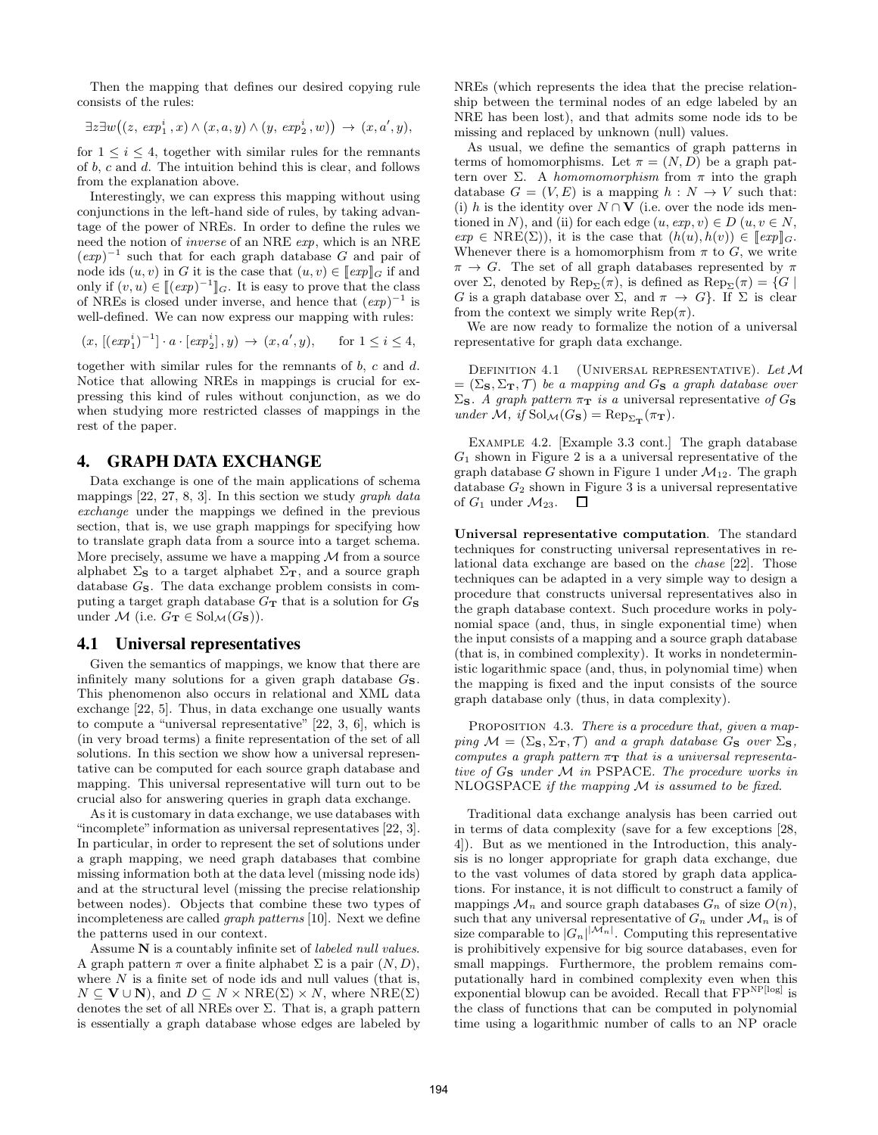Then the mapping that defines our desired copying rule consists of the rules:

$$
\exists z \exists w \big( (z, \ exp_1^i, x) \wedge (x, a, y) \wedge (y, \ exp_2^i, w) \big) \rightarrow (x, a', y),
$$

for  $1 \leq i \leq 4$ , together with similar rules for the remnants of b, c and d. The intuition behind this is clear, and follows from the explanation above.

Interestingly, we can express this mapping without using conjunctions in the left-hand side of rules, by taking advantage of the power of NREs. In order to define the rules we need the notion of inverse of an NRE exp, which is an NRE  $(exp)^{-1}$  such that for each graph database G and pair of node ids  $(u, v)$  in G it is the case that  $(u, v) \in \llbracket exp \rrbracket_G$  if and only if  $(v, u) \in [(exp)^{-1}]_G$ . It is easy to prove that the class of NREs is closed under inverse, and hence that  $(exp)^{-1}$  is well-defined. We can now express our mapping with rules:

$$
(x, [(exp_1^i)^{-1}] \cdot a \cdot [exp_2^i], y) \to (x, a', y),
$$
 for  $1 \le i \le 4$ ,

together with similar rules for the remnants of  $b$ ,  $c$  and  $d$ . Notice that allowing NREs in mappings is crucial for expressing this kind of rules without conjunction, as we do when studying more restricted classes of mappings in the rest of the paper.

#### 4. GRAPH DATA EXCHANGE

Data exchange is one of the main applications of schema mappings [22, 27, 8, 3]. In this section we study graph data exchange under the mappings we defined in the previous section, that is, we use graph mappings for specifying how to translate graph data from a source into a target schema. More precisely, assume we have a mapping  $M$  from a source alphabet  $\Sigma$ <sub>S</sub> to a target alphabet  $\Sigma$ <sub>T</sub>, and a source graph database  $G_{\mathbf{S}}$ . The data exchange problem consists in computing a target graph database  $G_T$  that is a solution for  $G_S$ under  $M$  (i.e.  $G_T \in Sol_{\mathcal{M}}(G_S)$ ).

#### 4.1 Universal representatives

Given the semantics of mappings, we know that there are infinitely many solutions for a given graph database  $G_{\mathbf{S}}$ . This phenomenon also occurs in relational and XML data exchange [22, 5]. Thus, in data exchange one usually wants to compute a "universal representative" [22, 3, 6], which is (in very broad terms) a finite representation of the set of all solutions. In this section we show how a universal representative can be computed for each source graph database and mapping. This universal representative will turn out to be crucial also for answering queries in graph data exchange.

As it is customary in data exchange, we use databases with "incomplete" information as universal representatives [22, 3]. In particular, in order to represent the set of solutions under a graph mapping, we need graph databases that combine missing information both at the data level (missing node ids) and at the structural level (missing the precise relationship between nodes). Objects that combine these two types of incompleteness are called graph patterns [10]. Next we define the patterns used in our context.

Assume  $N$  is a countably infinite set of *labeled null values*. A graph pattern  $\pi$  over a finite alphabet  $\Sigma$  is a pair  $(N, D)$ , where  $N$  is a finite set of node ids and null values (that is,  $N \subseteq V \cup N$ , and  $D \subseteq N \times \text{NRE}(\Sigma) \times N$ , where  $\text{NRE}(\Sigma)$ denotes the set of all NREs over  $\Sigma$ . That is, a graph pattern is essentially a graph database whose edges are labeled by

NREs (which represents the idea that the precise relationship between the terminal nodes of an edge labeled by an NRE has been lost), and that admits some node ids to be missing and replaced by unknown (null) values.

As usual, we define the semantics of graph patterns in terms of homomorphisms. Let  $\pi = (N, D)$  be a graph pattern over  $\Sigma$ . A *homomorphism* from  $\pi$  into the graph database  $G = (V, E)$  is a mapping  $h : N \to V$  such that: (i) h is the identity over  $N \cap V$  (i.e. over the node ids mentioned in N), and (ii) for each edge  $(u, exp, v) \in D$   $(u, v \in N$ ,  $exp \in \text{NRE}(\Sigma)$ , it is the case that  $(h(u), h(v)) \in \llbracket exp \rrbracket_G$ . Whenever there is a homomorphism from  $\pi$  to G, we write  $\pi \to G$ . The set of all graph databases represented by  $\pi$ over Σ, denoted by Rep<sub>Σ</sub>(π), is defined as Rep<sub>Σ</sub>(π) = {G | G is a graph database over  $\Sigma$ , and  $\pi \to G$ . If  $\Sigma$  is clear from the context we simply write  $\text{Rep}(\pi)$ .

We are now ready to formalize the notion of a universal representative for graph data exchange.

DEFINITION 4.1 (UNIVERSAL REPRESENTATIVE). Let  $\mathcal M$  $= (\Sigma_{\mathbf{S}}, \Sigma_{\mathbf{T}}, \mathcal{T})$  be a mapping and  $G_{\mathbf{S}}$  a graph database over  $\Sigma$ s. A graph pattern  $\pi$ **T** is a universal representative of  $G$ **s** under M, if  $\text{Sol}_\mathcal{M}(G_{\mathbf{S}}) = \text{Rep}_{\Sigma_{\mathbf{T}}}(\pi_{\mathbf{T}}).$ 

Example 4.2. [Example 3.3 cont.] The graph database  $G_1$  shown in Figure 2 is a a universal representative of the graph database G shown in Figure 1 under  $\mathcal{M}_{12}$ . The graph database  $G_2$  shown in Figure 3 is a universal representative of  $G_1$  under  $M_{23}$ .  $\Box$ 

Universal representative computation. The standard techniques for constructing universal representatives in relational data exchange are based on the chase [22]. Those techniques can be adapted in a very simple way to design a procedure that constructs universal representatives also in the graph database context. Such procedure works in polynomial space (and, thus, in single exponential time) when the input consists of a mapping and a source graph database (that is, in combined complexity). It works in nondeterministic logarithmic space (and, thus, in polynomial time) when the mapping is fixed and the input consists of the source graph database only (thus, in data complexity).

PROPOSITION 4.3. There is a procedure that, given a mapping  $\mathcal{M} = (\Sigma_{\mathbf{S}}, \Sigma_{\mathbf{T}}, \mathcal{T})$  and a graph database  $G_{\mathbf{S}}$  over  $\Sigma_{\mathbf{S}}$ , computes a graph pattern  $\pi_{\mathbf{T}}$  that is a universal representative of  $G_{\mathbf{S}}$  under  $\mathcal M$  in PSPACE. The procedure works in  $NLOGSPACE$  if the mapping  $M$  is assumed to be fixed.

Traditional data exchange analysis has been carried out in terms of data complexity (save for a few exceptions [28, 4]). But as we mentioned in the Introduction, this analysis is no longer appropriate for graph data exchange, due to the vast volumes of data stored by graph data applications. For instance, it is not difficult to construct a family of mappings  $\mathcal{M}_n$  and source graph databases  $G_n$  of size  $O(n)$ , such that any universal representative of  $G_n$  under  $\mathcal{M}_n$  is of size comparable to  $|G_n|^{|\mathcal{M}_n|}$ . Computing this representative is prohibitively expensive for big source databases, even for small mappings. Furthermore, the problem remains computationally hard in combined complexity even when this exponential blowup can be avoided. Recall that  $\mathbf{FP}^{\mathbf{NP}[\log]}$  is the class of functions that can be computed in polynomial time using a logarithmic number of calls to an NP oracle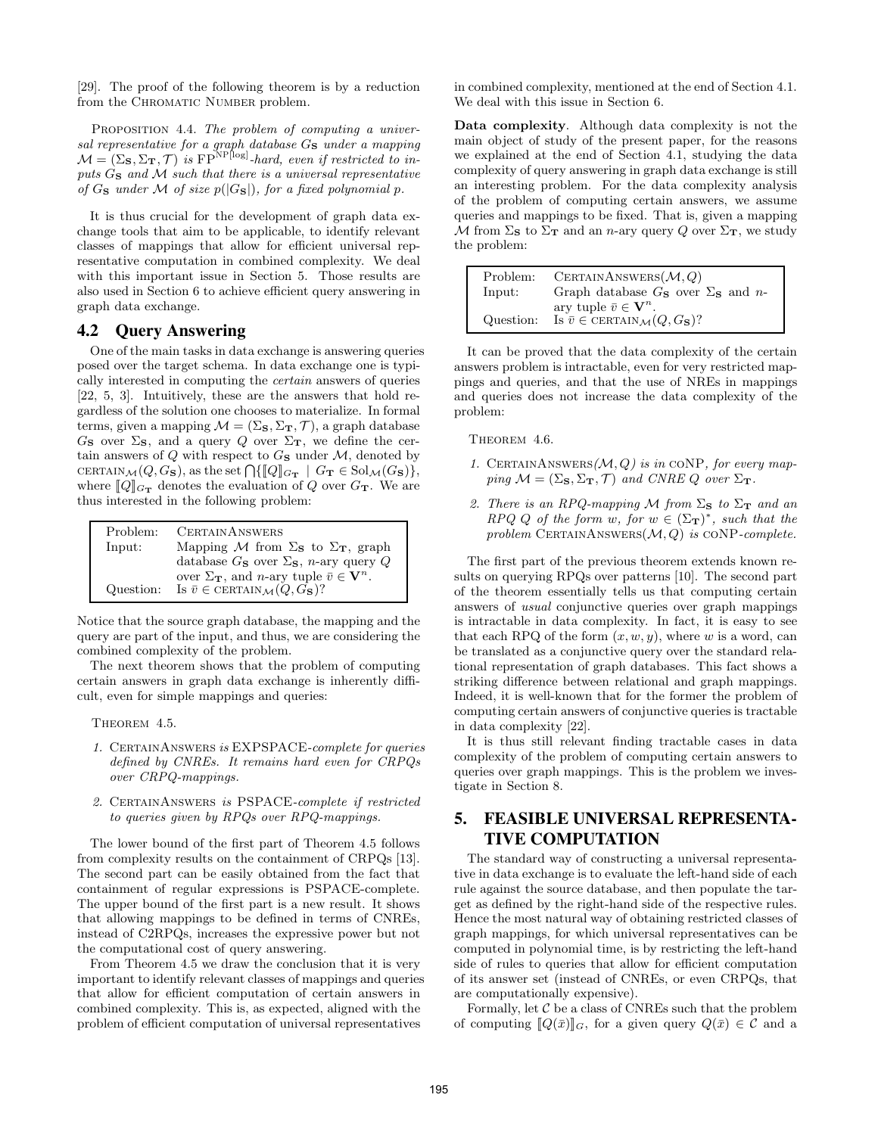[29]. The proof of the following theorem is by a reduction from the CHROMATIC NUMBER problem.

PROPOSITION 4.4. The problem of computing a universal representative for a graph database  $G_{\mathbf{S}}$  under a mapping  $\mathcal{M} = (\Sigma_{\mathbf{S}}, \Sigma_{\mathbf{T}}, \mathcal{T})$  is  $\text{FP}^{\text{NP[log]}}$ -hard, even if restricted to inputs  $G_{\mathbf{S}}$  and  $M$  such that there is a universal representative of Gs under M of size  $p(|G_{S}|)$ , for a fixed polynomial p.

It is thus crucial for the development of graph data exchange tools that aim to be applicable, to identify relevant classes of mappings that allow for efficient universal representative computation in combined complexity. We deal with this important issue in Section 5. Those results are also used in Section 6 to achieve efficient query answering in graph data exchange.

#### 4.2 Query Answering

One of the main tasks in data exchange is answering queries posed over the target schema. In data exchange one is typically interested in computing the certain answers of queries [22, 5, 3]. Intuitively, these are the answers that hold regardless of the solution one chooses to materialize. In formal terms, given a mapping  $\mathcal{M} = (\Sigma_{\mathbf{S}}, \Sigma_{\mathbf{T}}, \mathcal{T})$ , a graph database  $G_{\mathbf{S}}$  over  $\Sigma_{\mathbf{S}}$ , and a query Q over  $\Sigma_{\mathbf{T}}$ , we define the certain answers of  $Q$  with respect to  $G_{\mathbf{S}}$  under  $M$ , denoted by CERTAIN $\mathcal{M}(Q, G_{\mathbf{S}})$ , as the set  $\bigcap \{ \llbracket Q \rrbracket_{G_{\mathbf{T}}} \mid G_{\mathbf{T}} \in \text{Sol}_{\mathcal{M}}(G_{\mathbf{S}}) \},$ where  $\llbracket Q \rrbracket_{G_{\mathbf{T}}}$  denotes the evaluation of Q over  $G_{\mathbf{T}}$ . We are thus interested in the following problem:

| Problem:<br>Input: | <b>CERTAINANSWERS</b><br>Mapping M from $\Sigma$ <sub>S</sub> to $\Sigma$ <sub>T</sub> , graph                                                       |
|--------------------|------------------------------------------------------------------------------------------------------------------------------------------------------|
|                    | database $G_s$ over $\Sigma_s$ , <i>n</i> -ary query Q                                                                                               |
| Question:          | over $\Sigma_{\mathbf{T}}$ , and <i>n</i> -ary tuple $\bar{v} \in \mathbf{V}^n$ .<br>Is $\bar{v} \in \text{CERTAIN}_{\mathcal{M}}(Q, \bar{G}_{S})$ ? |

Notice that the source graph database, the mapping and the query are part of the input, and thus, we are considering the combined complexity of the problem.

The next theorem shows that the problem of computing certain answers in graph data exchange is inherently difficult, even for simple mappings and queries:

THEOREM 4.5.

- 1. CERTAINANSWERS is EXPSPACE-complete for queries defined by CNREs. It remains hard even for CRPQs over CRPQ-mappings.
- 2. CERTAINANSWERS is PSPACE-complete if restricted to queries given by RPQs over RPQ-mappings.

The lower bound of the first part of Theorem 4.5 follows from complexity results on the containment of CRPQs [13]. The second part can be easily obtained from the fact that containment of regular expressions is PSPACE-complete. The upper bound of the first part is a new result. It shows that allowing mappings to be defined in terms of CNREs, instead of C2RPQs, increases the expressive power but not the computational cost of query answering.

From Theorem 4.5 we draw the conclusion that it is very important to identify relevant classes of mappings and queries that allow for efficient computation of certain answers in combined complexity. This is, as expected, aligned with the problem of efficient computation of universal representatives

in combined complexity, mentioned at the end of Section 4.1. We deal with this issue in Section 6.

Data complexity. Although data complexity is not the main object of study of the present paper, for the reasons we explained at the end of Section 4.1, studying the data complexity of query answering in graph data exchange is still an interesting problem. For the data complexity analysis of the problem of computing certain answers, we assume queries and mappings to be fixed. That is, given a mapping M from  $\Sigma$ s to  $\Sigma$ <sub>T</sub> and an *n*-ary query Q over  $\Sigma$ <sub>T</sub>, we study the problem:

| Problem:  | CERTAINANSWERS $(\mathcal{M}, Q)$                                  |
|-----------|--------------------------------------------------------------------|
| Input:    | Graph database $G_{S}$ over $\Sigma_{S}$ and n-                    |
|           | ary tuple $\bar{v} \in V^n$ .                                      |
| Question: | Is $\bar{v} \in \text{CERTAIN}_{\mathcal{M}}(Q, G_{\mathbf{S}})$ ? |

It can be proved that the data complexity of the certain answers problem is intractable, even for very restricted mappings and queries, and that the use of NREs in mappings and queries does not increase the data complexity of the problem:

THEOREM 4.6.

- 1. CERTAINANSWERS  $(M, Q)$  is in CONP, for every mapping  $\mathcal{M} = (\Sigma_{\mathbf{S}}, \Sigma_{\mathbf{T}}, \mathcal{T})$  and CNRE Q over  $\Sigma_{\mathbf{T}}$ .
- 2. There is an RPQ-mapping M from  $\Sigma$ s to  $\Sigma$ <sub>T</sub> and an  $RPQQ$  of the form w, for  $w \in (\Sigma_{\mathbf{T}})^{*}$ , such that the problem CERTAINANSWERS $(\mathcal{M}, Q)$  is CONP-complete.

The first part of the previous theorem extends known results on querying RPQs over patterns [10]. The second part of the theorem essentially tells us that computing certain answers of usual conjunctive queries over graph mappings is intractable in data complexity. In fact, it is easy to see that each RPQ of the form  $(x, w, y)$ , where w is a word, can be translated as a conjunctive query over the standard relational representation of graph databases. This fact shows a striking difference between relational and graph mappings. Indeed, it is well-known that for the former the problem of computing certain answers of conjunctive queries is tractable in data complexity [22].

It is thus still relevant finding tractable cases in data complexity of the problem of computing certain answers to queries over graph mappings. This is the problem we investigate in Section 8.

# 5. FEASIBLE UNIVERSAL REPRESENTA-TIVE COMPUTATION

The standard way of constructing a universal representative in data exchange is to evaluate the left-hand side of each rule against the source database, and then populate the target as defined by the right-hand side of the respective rules. Hence the most natural way of obtaining restricted classes of graph mappings, for which universal representatives can be computed in polynomial time, is by restricting the left-hand side of rules to queries that allow for efficient computation of its answer set (instead of CNREs, or even CRPQs, that are computationally expensive).

Formally, let  $C$  be a class of CNREs such that the problem of computing  $[Q(\bar{x})]_G$ , for a given query  $Q(\bar{x}) \in \mathcal{C}$  and a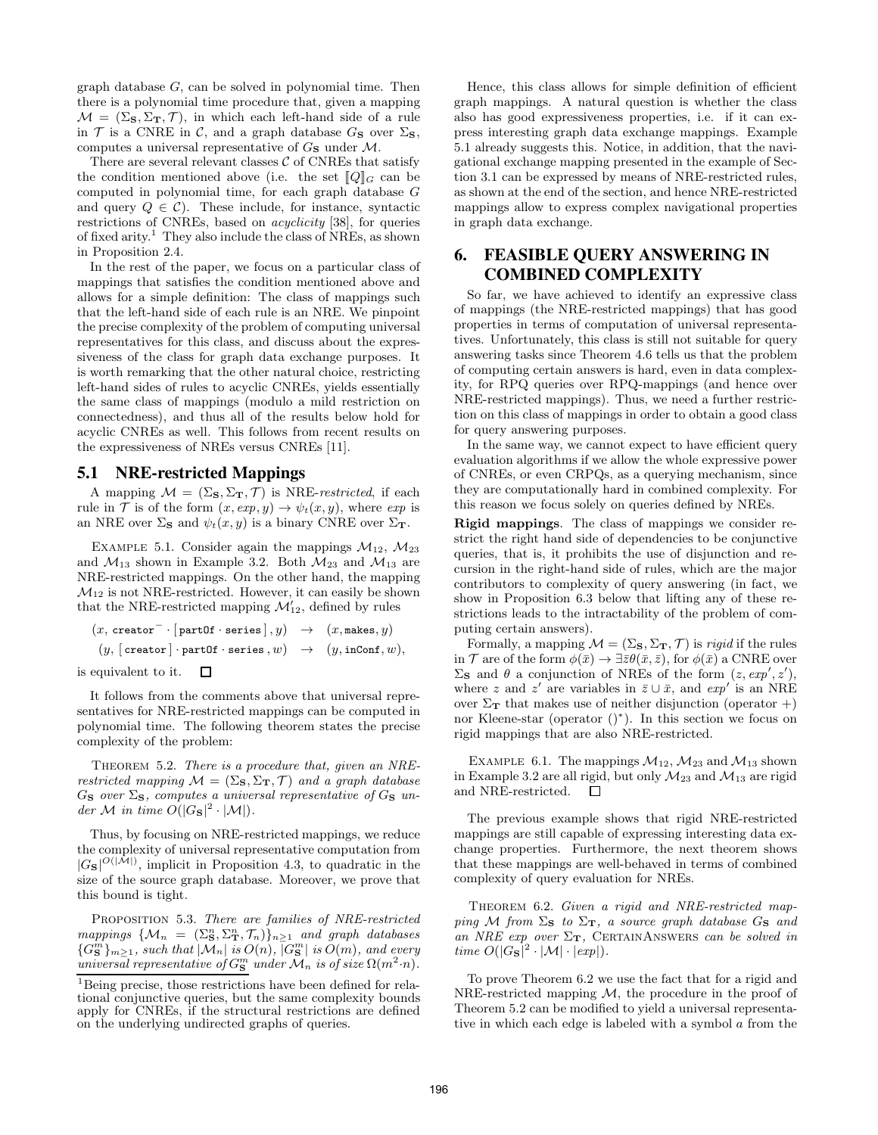graph database  $G$ , can be solved in polynomial time. Then there is a polynomial time procedure that, given a mapping  $M = (\Sigma_{\mathbf{S}}, \Sigma_{\mathbf{T}}, \mathcal{T})$ , in which each left-hand side of a rule in  $\mathcal T$  is a CNRE in  $\mathcal C$ , and a graph database  $G_S$  over  $\Sigma_S$ , computes a universal representative of  $G_{\mathbf{S}}$  under M.

There are several relevant classes  $\mathcal C$  of CNREs that satisfy the condition mentioned above (i.e. the set  $\llbracket Q \rrbracket_G$  can be computed in polynomial time, for each graph database G and query  $Q \in \mathcal{C}$ . These include, for instance, syntactic restrictions of CNREs, based on acyclicity [38], for queries of fixed arity.<sup>1</sup> They also include the class of NREs, as shown in Proposition 2.4.

In the rest of the paper, we focus on a particular class of mappings that satisfies the condition mentioned above and allows for a simple definition: The class of mappings such that the left-hand side of each rule is an NRE. We pinpoint the precise complexity of the problem of computing universal representatives for this class, and discuss about the expressiveness of the class for graph data exchange purposes. It is worth remarking that the other natural choice, restricting left-hand sides of rules to acyclic CNREs, yields essentially the same class of mappings (modulo a mild restriction on connectedness), and thus all of the results below hold for acyclic CNREs as well. This follows from recent results on the expressiveness of NREs versus CNREs [11].

#### 5.1 NRE-restricted Mappings

A mapping  $\mathcal{M} = (\Sigma_{\mathbf{S}}, \Sigma_{\mathbf{T}}, \mathcal{T})$  is NRE-restricted, if each rule in T is of the form  $(x, exp, y) \rightarrow \psi_t(x, y)$ , where  $exp$  is an NRE over  $\Sigma$ <sub>S</sub> and  $\psi_t(x, y)$  is a binary CNRE over  $\Sigma$ <sub>T</sub>.

EXAMPLE 5.1. Consider again the mappings  $\mathcal{M}_{12}$ ,  $\mathcal{M}_{23}$ and  $\mathcal{M}_{13}$  shown in Example 3.2. Both  $\mathcal{M}_{23}$  and  $\mathcal{M}_{13}$  are NRE-restricted mappings. On the other hand, the mapping  $M_{12}$  is not NRE-restricted. However, it can easily be shown that the NRE-restricted mapping  $\mathcal{M}'_{12}$ , defined by rules

$$
\begin{array}{lcl} (x,\, \mathtt{createor}^- \cdot [\mathtt{partOf} \cdot \mathtt{series} \,] \, ,y) & \rightarrow & (x,\mathtt{makes},y) \\ (y,\, [\, \mathtt{createor} \,] \cdot \mathtt{partOf} \cdot \mathtt{series} \, ,w) & \rightarrow & (y,\mathtt{inConf},w), \end{array}
$$

is equivalent to it.  $\Box$ 

It follows from the comments above that universal representatives for NRE-restricted mappings can be computed in polynomial time. The following theorem states the precise complexity of the problem:

THEOREM 5.2. There is a procedure that, given an NRErestricted mapping  $\mathcal{M} = (\Sigma_{\mathbf{S}}, \Sigma_{\mathbf{T}}, \mathcal{T})$  and a graph database  $G_{\mathbf{S}}$  over  $\Sigma_{\mathbf{S}}$ , computes a universal representative of  $G_{\mathbf{S}}$  under M in time  $O(|G_{\mathbf{S}}|^2 \cdot |\mathcal{M}|)$ .

Thus, by focusing on NRE-restricted mappings, we reduce the complexity of universal representative computation from  $|G_{\mathbf{S}}|^{O(|\mathcal{M}|)}$ , implicit in Proposition 4.3, to quadratic in the size of the source graph database. Moreover, we prove that this bound is tight.

PROPOSITION 5.3. There are families of NRE-restricted mappings  $\{\mathcal{M}_n = (\Sigma^n_S, \Sigma^n_T, \mathcal{T}_n)\}_{n \geq 1}$  and graph databases  ${G_{\mathbf{S}}^m}_{m \geq 1}$ , such that  $|\mathcal{M}_n|$  is  $O(n)$ ,  $|G_{\mathbf{S}}^m|$  is  $O(m)$ , and every universal representative of  $G^m_{\mathbf{S}}$  under  $\mathcal{M}_n$  is of size  $\Omega(m^2 \cdot n)$ .

Hence, this class allows for simple definition of efficient graph mappings. A natural question is whether the class also has good expressiveness properties, i.e. if it can express interesting graph data exchange mappings. Example 5.1 already suggests this. Notice, in addition, that the navigational exchange mapping presented in the example of Section 3.1 can be expressed by means of NRE-restricted rules, as shown at the end of the section, and hence NRE-restricted mappings allow to express complex navigational properties in graph data exchange.

# 6. FEASIBLE QUERY ANSWERING IN COMBINED COMPLEXITY

So far, we have achieved to identify an expressive class of mappings (the NRE-restricted mappings) that has good properties in terms of computation of universal representatives. Unfortunately, this class is still not suitable for query answering tasks since Theorem 4.6 tells us that the problem of computing certain answers is hard, even in data complexity, for RPQ queries over RPQ-mappings (and hence over NRE-restricted mappings). Thus, we need a further restriction on this class of mappings in order to obtain a good class for query answering purposes.

In the same way, we cannot expect to have efficient query evaluation algorithms if we allow the whole expressive power of CNREs, or even CRPQs, as a querying mechanism, since they are computationally hard in combined complexity. For this reason we focus solely on queries defined by NREs.

Rigid mappings. The class of mappings we consider restrict the right hand side of dependencies to be conjunctive queries, that is, it prohibits the use of disjunction and recursion in the right-hand side of rules, which are the major contributors to complexity of query answering (in fact, we show in Proposition 6.3 below that lifting any of these restrictions leads to the intractability of the problem of computing certain answers).

Formally, a mapping  $\mathcal{M} = (\Sigma_{\mathbf{S}}, \Sigma_{\mathbf{T}}, \mathcal{T})$  is rigid if the rules in T are of the form  $\phi(\bar{x}) \to \exists \bar{z} \theta(\bar{x}, \bar{z})$ , for  $\phi(\bar{x})$  a CNRE over  $\Sigma$ **s** and  $\theta$  a conjunction of NREs of the form  $(z, exp', z')$ , where z and z' are variables in  $\bar{z} \cup \bar{x}$ , and  $exp'$  is an NRE over  $\Sigma_{\mathbf{T}}$  that makes use of neither disjunction (operator +) nor Kleene-star (operator ()∗). In this section we focus on rigid mappings that are also NRE-restricted.

EXAMPLE 6.1. The mappings  $\mathcal{M}_{12}$ ,  $\mathcal{M}_{23}$  and  $\mathcal{M}_{13}$  shown in Example 3.2 are all rigid, but only  $\mathcal{M}_{23}$  and  $\mathcal{M}_{13}$  are rigid and NRE-restricted.  $\Box$ and NRE-restricted.

The previous example shows that rigid NRE-restricted mappings are still capable of expressing interesting data exchange properties. Furthermore, the next theorem shows that these mappings are well-behaved in terms of combined complexity of query evaluation for NREs.

Theorem 6.2. Given a rigid and NRE-restricted mapping M from  $\Sigma$ s to  $\Sigma$ <sub>T</sub>, a source graph database  $G$ s and an NRE exp over  $\Sigma_T$ , CERTAINANSWERS can be solved in time  $O(|G_{\mathbf{S}}|^2 \cdot |\mathcal{M}| \cdot |exp|)$ .

To prove Theorem 6.2 we use the fact that for a rigid and NRE-restricted mapping  $M$ , the procedure in the proof of Theorem 5.2 can be modified to yield a universal representative in which each edge is labeled with a symbol a from the

<sup>&</sup>lt;sup>1</sup>Being precise, those restrictions have been defined for relational conjunctive queries, but the same complexity bounds apply for CNREs, if the structural restrictions are defined on the underlying undirected graphs of queries.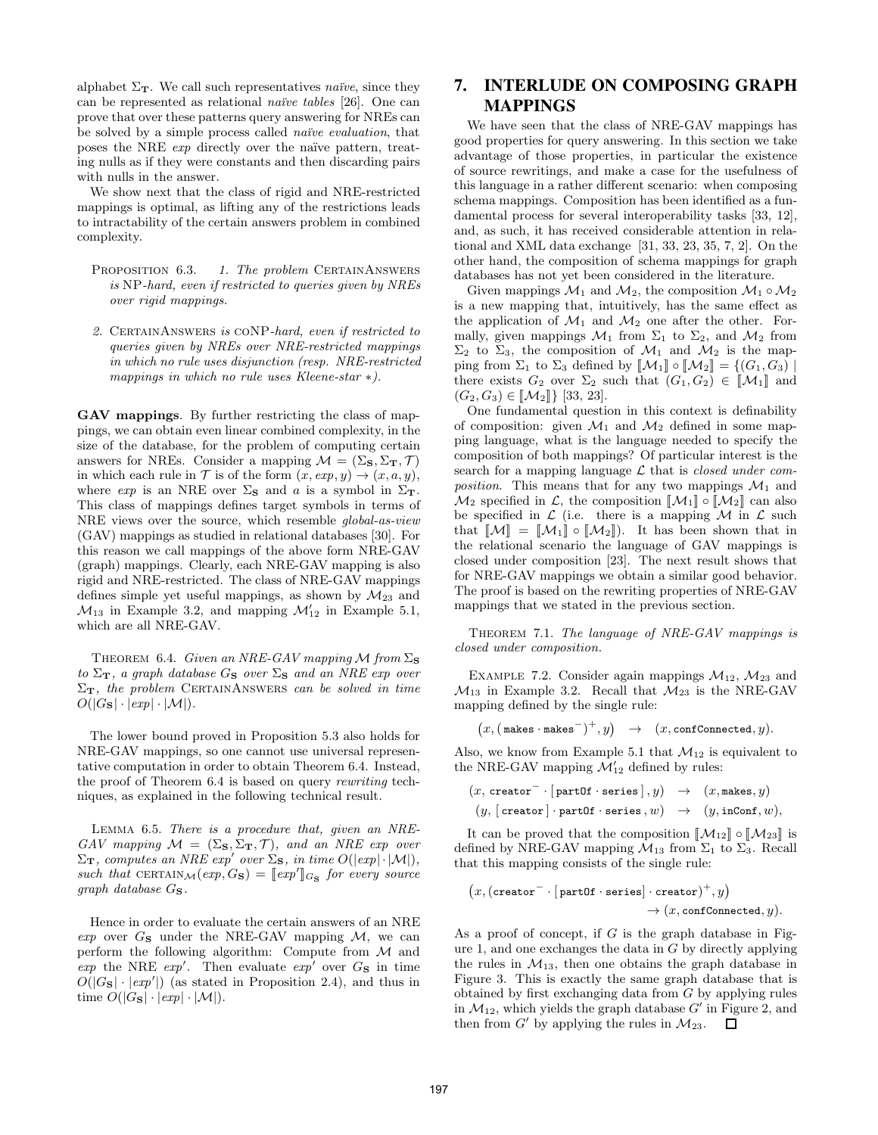alphabet  $\Sigma_T$ . We call such representatives *naïve*, since they can be represented as relational *naïve tables* [26]. One can prove that over these patterns query answering for NREs can be solved by a simple process called *naïve evaluation*, that poses the NRE *exp* directly over the naïve pattern, treating nulls as if they were constants and then discarding pairs with nulls in the answer.

We show next that the class of rigid and NRE-restricted mappings is optimal, as lifting any of the restrictions leads to intractability of the certain answers problem in combined complexity.

- PROPOSITION 6.3. 1. The problem CERTAINANSWERS is NP-hard, even if restricted to queries given by NREs over rigid mappings.
- 2. CERTAINANSWERS is CONP-hard, even if restricted to queries given by NREs over NRE-restricted mappings in which no rule uses disjunction (resp. NRE-restricted mappings in which no rule uses Kleene-star ∗).

GAV mappings. By further restricting the class of mappings, we can obtain even linear combined complexity, in the size of the database, for the problem of computing certain answers for NREs. Consider a mapping  $\mathcal{M} = (\Sigma_{\mathbf{S}}, \Sigma_{\mathbf{T}}, \mathcal{T})$ in which each rule in  $\mathcal T$  is of the form  $(x, exp, y) \rightarrow (x, a, y)$ , where  $exp$  is an NRE over  $\Sigma$ <sub>S</sub> and a is a symbol in  $\Sigma$ <sub>T</sub>. This class of mappings defines target symbols in terms of NRE views over the source, which resemble global-as-view (GAV) mappings as studied in relational databases [30]. For this reason we call mappings of the above form NRE-GAV (graph) mappings. Clearly, each NRE-GAV mapping is also rigid and NRE-restricted. The class of NRE-GAV mappings defines simple yet useful mappings, as shown by  $\mathcal{M}_{23}$  and  $\mathcal{M}_{13}$  in Example 3.2, and mapping  $\mathcal{M}'_{12}$  in Example 5.1, which are all NRE-GAV.

THEOREM 6.4. Given an NRE-GAV mapping  $\mathcal M$  from  $\Sigma_{\mathbf S}$ to  $\Sigma_{\mathbf{T}}$ , a graph database  $G_{\mathbf{S}}$  over  $\Sigma_{\mathbf{S}}$  and an NRE exp over  $\Sigma_{\rm T}$ , the problem CERTAINANSWERS can be solved in time  $O(|G_{\mathbf{S}}|\cdot|exp|\cdot|\mathcal{M}|).$ 

The lower bound proved in Proposition 5.3 also holds for NRE-GAV mappings, so one cannot use universal representative computation in order to obtain Theorem 6.4. Instead, the proof of Theorem 6.4 is based on query rewriting techniques, as explained in the following technical result.

Lemma 6.5. There is a procedure that, given an NRE-GAV mapping  $\mathcal{M} = (\Sigma_{\mathbf{S}}, \Sigma_{\mathbf{T}}, \mathcal{T})$ , and an NRE exp over  $\Sigma_{\mathbf{T}}$ , computes an NRE exp' over  $\Sigma_{\mathbf{S}}$ , in time  $O(|exp|\cdot|\mathcal{M}|)$ , such that CERTAIN $\mathcal{M}(exp, G_{\mathbf{S}}) = [exp']_{G_{\mathbf{S}}}$  for every source graph database GS.

Hence in order to evaluate the certain answers of an NRE exp over  $G_{\mathbf{S}}$  under the NRE-GAV mapping  $\mathcal{M}$ , we can perform the following algorithm: Compute from  $M$  and exp the NRE  $exp'$ . Then evaluate  $exp'$  over  $G_{\mathbf{S}}$  in time  $O(|G_{\mathbf{S}}| \cdot |exp'|)$  (as stated in Proposition 2.4), and thus in time  $O(|G_{\mathbf{S}}|\cdot |exp|\cdot |\mathcal{M}|).$ 

# 7. INTERLUDE ON COMPOSING GRAPH MAPPINGS

We have seen that the class of NRE-GAV mappings has good properties for query answering. In this section we take advantage of those properties, in particular the existence of source rewritings, and make a case for the usefulness of this language in a rather different scenario: when composing schema mappings. Composition has been identified as a fundamental process for several interoperability tasks [33, 12], and, as such, it has received considerable attention in relational and XML data exchange [31, 33, 23, 35, 7, 2]. On the other hand, the composition of schema mappings for graph databases has not yet been considered in the literature.

Given mappings  $\mathcal{M}_1$  and  $\mathcal{M}_2$ , the composition  $\mathcal{M}_1 \circ \mathcal{M}_2$ is a new mapping that, intuitively, has the same effect as the application of  $\mathcal{M}_1$  and  $\mathcal{M}_2$  one after the other. Formally, given mappings  $\mathcal{M}_1$  from  $\Sigma_1$  to  $\Sigma_2$ , and  $\mathcal{M}_2$  from  $\Sigma_2$  to  $\Sigma_3$ , the composition of  $\mathcal{M}_1$  and  $\mathcal{M}_2$  is the mapping from  $\Sigma_1$  to  $\Sigma_3$  defined by  $\llbracket \mathcal{M}_1 \rrbracket \circ \llbracket \mathcal{M}_2 \rrbracket = \{(G_1, G_3) \mid$ there exists  $G_2$  over  $\Sigma_2$  such that  $(G_1, G_2) \in [\![\mathcal{M}_1]\!]$  and  $(G_2, G_3) \in [\mathcal{M}_2]$  [33, 23].

One fundamental question in this context is definability of composition: given  $\mathcal{M}_1$  and  $\mathcal{M}_2$  defined in some mapping language, what is the language needed to specify the composition of both mappings? Of particular interest is the search for a mapping language  $\mathcal L$  that is *closed under composition*. This means that for any two mappings  $\mathcal{M}_1$  and  $\mathcal{M}_2$  specified in  $\mathcal{L}$ , the composition  $\llbracket \mathcal{M}_1 \rrbracket \circ \llbracket \mathcal{M}_2 \rrbracket$  can also be specified in  $\mathcal L$  (i.e. there is a mapping  $\mathcal M$  in  $\mathcal L$  such that  $\|\mathcal{M}\| = \|\mathcal{M}_1\| \circ \|\mathcal{M}_2\|$ . It has been shown that in the relational scenario the language of GAV mappings is closed under composition [23]. The next result shows that for NRE-GAV mappings we obtain a similar good behavior. The proof is based on the rewriting properties of NRE-GAV mappings that we stated in the previous section.

Theorem 7.1. The language of NRE-GAV mappings is closed under composition.

EXAMPLE 7.2. Consider again mappings  $\mathcal{M}_{12}$ ,  $\mathcal{M}_{23}$  and  $M_{13}$  in Example 3.2. Recall that  $M_{23}$  is the NRE-GAV mapping defined by the single rule:

 $\left(x, \left(\begin{smallmatrix} \texttt{makes} \cdot \texttt{makes} \end{smallmatrix}\right)^+, y\right) \quad \rightarrow \quad (x, \texttt{confConnected}, y).$ 

Also, we know from Example 5.1 that  $\mathcal{M}_{12}$  is equivalent to the NRE-GAV mapping  $\mathcal{M}'_{12}$  defined by rules:

 $(x, \text{ creator}^- \cdot [\text{partOf} \cdot \text{series}], y) \rightarrow (x, \text{makes}, y)$  $(y, [\text{ creator}] \cdot \text{partOf} \cdot \text{series}, w) \rightarrow (y, \text{inConf}, w),$ 

It can be proved that the composition  $\|\mathcal{M}_{12}\| \circ \|\mathcal{M}_{23}\|$  is defined by NRE-GAV mapping  $\mathcal{M}_{13}$  from  $\Sigma_1$  to  $\Sigma_3$ . Recall that this mapping consists of the single rule:

$$
\begin{aligned}[x,\bigl(\texttt{createor}^-\cdot[\texttt{partOf}\cdot\texttt{series}]\cdot\texttt{createor}\bigr)^+,y\bigr) \\ \to(x,\texttt{confConnected},y).\end{aligned}
$$

As a proof of concept, if  $G$  is the graph database in Figure 1, and one exchanges the data in  $G$  by directly applying the rules in  $\mathcal{M}_{13}$ , then one obtains the graph database in Figure 3. This is exactly the same graph database that is obtained by first exchanging data from G by applying rules in  $\mathcal{M}_{12}$ , which yields the graph database  $G'$  in Figure 2, and then from  $G'$  by applying the rules in  $\mathcal{M}_{23}$ .  $\square$ then from  $G'$  by applying the rules in  $\mathcal{M}_{23}$ .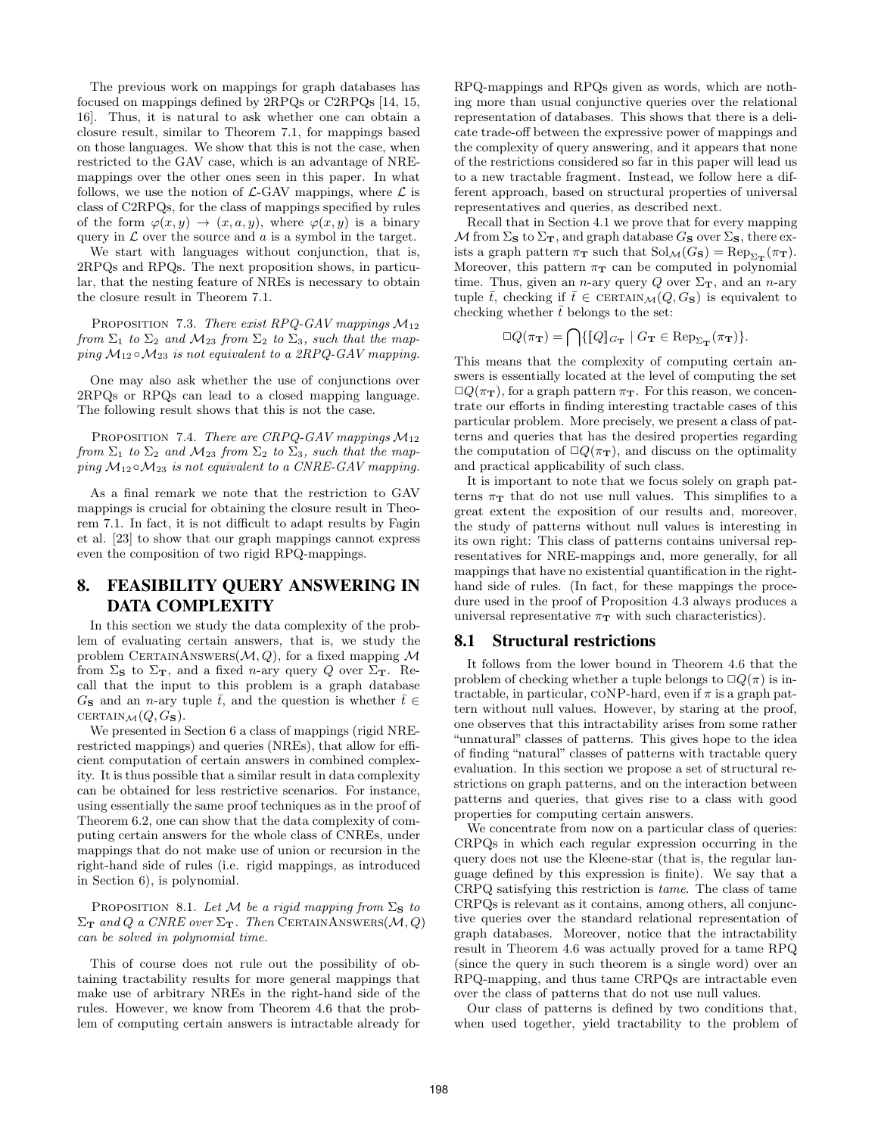The previous work on mappings for graph databases has focused on mappings defined by 2RPQs or C2RPQs [14, 15, 16]. Thus, it is natural to ask whether one can obtain a closure result, similar to Theorem 7.1, for mappings based on those languages. We show that this is not the case, when restricted to the GAV case, which is an advantage of NREmappings over the other ones seen in this paper. In what follows, we use the notion of  $\mathcal{L}$ -GAV mappings, where  $\mathcal L$  is class of C2RPQs, for the class of mappings specified by rules of the form  $\varphi(x, y) \to (x, a, y)$ , where  $\varphi(x, y)$  is a binary query in  $\mathcal L$  over the source and  $a$  is a symbol in the target.

We start with languages without conjunction, that is, 2RPQs and RPQs. The next proposition shows, in particular, that the nesting feature of NREs is necessary to obtain the closure result in Theorem 7.1.

PROPOSITION 7.3. There exist RPQ-GAV mappings  $\mathcal{M}_{12}$ from  $\Sigma_1$  to  $\Sigma_2$  and  $\mathcal{M}_{23}$  from  $\Sigma_2$  to  $\Sigma_3$ , such that the mapping  $M_{12} \circ M_{23}$  is not equivalent to a 2RPQ-GAV mapping.

One may also ask whether the use of conjunctions over 2RPQs or RPQs can lead to a closed mapping language. The following result shows that this is not the case.

PROPOSITION 7.4. There are CRPQ-GAV mappings  $\mathcal{M}_{12}$ from  $\Sigma_1$  to  $\Sigma_2$  and  $\mathcal{M}_{23}$  from  $\Sigma_2$  to  $\Sigma_3$ , such that the mapping  $M_{12} \circ M_{23}$  is not equivalent to a CNRE-GAV mapping.

As a final remark we note that the restriction to GAV mappings is crucial for obtaining the closure result in Theorem 7.1. In fact, it is not difficult to adapt results by Fagin et al. [23] to show that our graph mappings cannot express even the composition of two rigid RPQ-mappings.

# 8. FEASIBILITY QUERY ANSWERING IN DATA COMPLEXITY

In this section we study the data complexity of the problem of evaluating certain answers, that is, we study the problem CERTAINANSWERS $(\mathcal{M}, Q)$ , for a fixed mapping M from  $\Sigma$ s to  $\Sigma$ <sub>T</sub>, and a fixed *n*-ary query Q over  $\Sigma$ <sub>T</sub>. Recall that the input to this problem is a graph database  $G_{\mathbf{S}}$  and an n-ary tuple  $\bar{t}$ , and the question is whether  $\bar{t} \in$ CERTAIN $\mathcal{M}(Q, G_{\mathbf{S}})$ .

We presented in Section 6 a class of mappings (rigid NRErestricted mappings) and queries (NREs), that allow for efficient computation of certain answers in combined complexity. It is thus possible that a similar result in data complexity can be obtained for less restrictive scenarios. For instance, using essentially the same proof techniques as in the proof of Theorem 6.2, one can show that the data complexity of computing certain answers for the whole class of CNREs, under mappings that do not make use of union or recursion in the right-hand side of rules (i.e. rigid mappings, as introduced in Section 6), is polynomial.

PROPOSITION 8.1. Let M be a rigid mapping from  $\Sigma$ <sub>S</sub> to  $\Sigma_{\mathbf{T}}$  and Q a CNRE over  $\Sigma_{\mathbf{T}}$ . Then CERTAINANSWERS( $\mathcal{M}, Q$ ) can be solved in polynomial time.

This of course does not rule out the possibility of obtaining tractability results for more general mappings that make use of arbitrary NREs in the right-hand side of the rules. However, we know from Theorem 4.6 that the problem of computing certain answers is intractable already for

RPQ-mappings and RPQs given as words, which are nothing more than usual conjunctive queries over the relational representation of databases. This shows that there is a delicate trade-off between the expressive power of mappings and the complexity of query answering, and it appears that none of the restrictions considered so far in this paper will lead us to a new tractable fragment. Instead, we follow here a different approach, based on structural properties of universal representatives and queries, as described next.

Recall that in Section 4.1 we prove that for every mapping M from  $\Sigma$ <sub>S</sub> to  $\Sigma$ <sub>T</sub>, and graph database  $G$ <sub>S</sub> over  $\Sigma$ <sub>S</sub>, there exists a graph pattern  $\pi_{\mathbf{T}}$  such that  $Sol_{\mathcal{M}}(G_{\mathbf{S}}) = Rep_{\Sigma_{\mathbf{T}}}(\pi_{\mathbf{T}}).$ Moreover, this pattern  $\pi_{\mathbf{T}}$  can be computed in polynomial time. Thus, given an n-ary query Q over  $\Sigma_{\mathbf{T}}$ , and an n-ary tuple  $\bar{t}$ , checking if  $\bar{t} \in \text{CERTAIN}_\mathcal{M}(Q, G_{\mathbf{S}})$  is equivalent to checking whether  $\bar{t}$  belongs to the set:

$$
\Box Q(\pi_{\mathbf{T}}) = \bigcap \{ [\![Q]\!]_{G_{\mathbf{T}}} \mid G_{\mathbf{T}} \in \mathrm{Rep}_{\Sigma_{\mathbf{T}}}(\pi_{\mathbf{T}}) \}.
$$

This means that the complexity of computing certain answers is essentially located at the level of computing the set  $\Box Q(\pi_{\bf T})$ , for a graph pattern  $\pi_{\bf T}$ . For this reason, we concentrate our efforts in finding interesting tractable cases of this particular problem. More precisely, we present a class of patterns and queries that has the desired properties regarding the computation of  $\Box Q(\pi_{\mathbf{T}})$ , and discuss on the optimality and practical applicability of such class.

It is important to note that we focus solely on graph patterns  $\pi_T$  that do not use null values. This simplifies to a great extent the exposition of our results and, moreover, the study of patterns without null values is interesting in its own right: This class of patterns contains universal representatives for NRE-mappings and, more generally, for all mappings that have no existential quantification in the righthand side of rules. (In fact, for these mappings the procedure used in the proof of Proposition 4.3 always produces a universal representative  $\pi_{\mathbf{T}}$  with such characteristics).

#### 8.1 Structural restrictions

It follows from the lower bound in Theorem 4.6 that the problem of checking whether a tuple belongs to  $\Box Q(\pi)$  is intractable, in particular, CONP-hard, even if  $\pi$  is a graph pattern without null values. However, by staring at the proof, one observes that this intractability arises from some rather "unnatural" classes of patterns. This gives hope to the idea of finding "natural" classes of patterns with tractable query evaluation. In this section we propose a set of structural restrictions on graph patterns, and on the interaction between patterns and queries, that gives rise to a class with good properties for computing certain answers.

We concentrate from now on a particular class of queries: CRPQs in which each regular expression occurring in the query does not use the Kleene-star (that is, the regular language defined by this expression is finite). We say that a CRPQ satisfying this restriction is tame. The class of tame CRPQs is relevant as it contains, among others, all conjunctive queries over the standard relational representation of graph databases. Moreover, notice that the intractability result in Theorem 4.6 was actually proved for a tame RPQ (since the query in such theorem is a single word) over an RPQ-mapping, and thus tame CRPQs are intractable even over the class of patterns that do not use null values.

Our class of patterns is defined by two conditions that, when used together, yield tractability to the problem of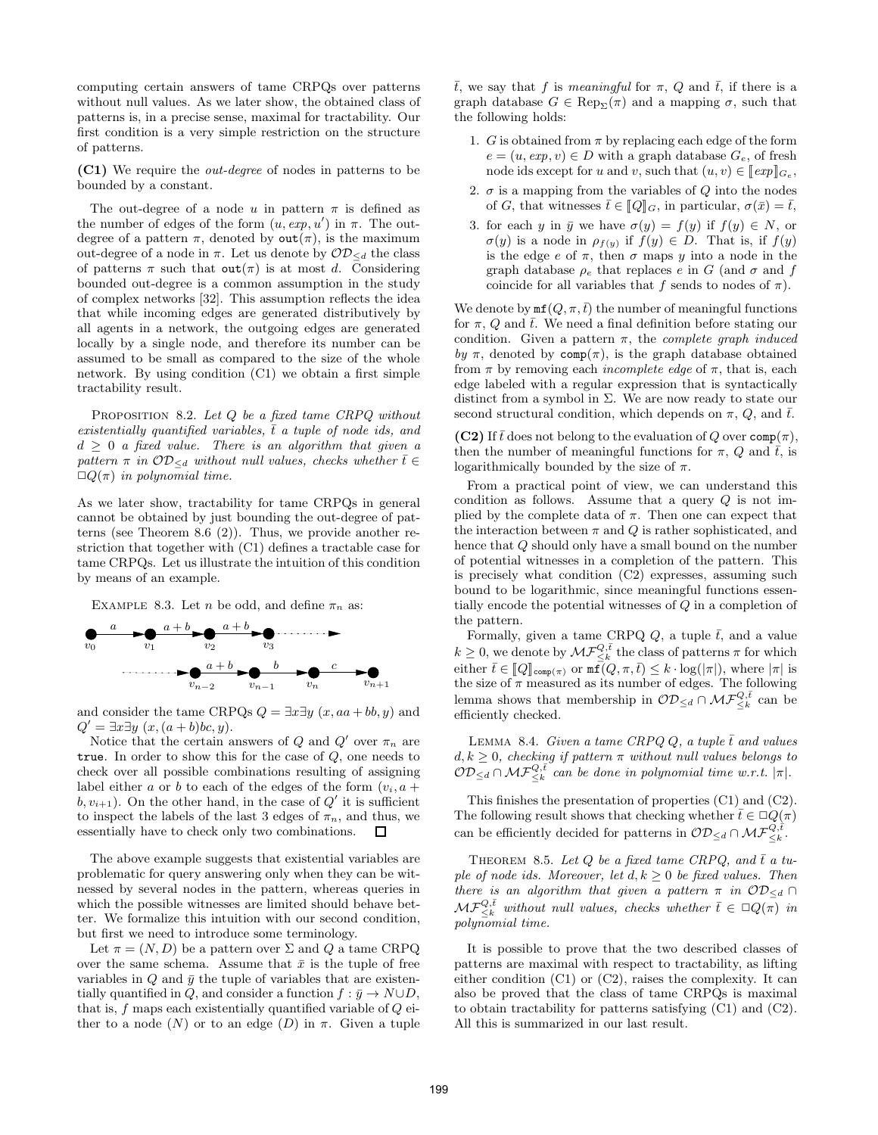computing certain answers of tame CRPQs over patterns without null values. As we later show, the obtained class of patterns is, in a precise sense, maximal for tractability. Our first condition is a very simple restriction on the structure of patterns.

(C1) We require the out-degree of nodes in patterns to be bounded by a constant.

The out-degree of a node u in pattern  $\pi$  is defined as the number of edges of the form  $(u, exp, u')$  in  $\pi$ . The outdegree of a pattern  $\pi$ , denoted by out $(\pi)$ , is the maximum out-degree of a node in  $\pi$ . Let us denote by  $\mathcal{OD}_{\leq d}$  the class of patterns  $\pi$  such that out $(\pi)$  is at most d. Considering bounded out-degree is a common assumption in the study of complex networks [32]. This assumption reflects the idea that while incoming edges are generated distributively by all agents in a network, the outgoing edges are generated locally by a single node, and therefore its number can be assumed to be small as compared to the size of the whole network. By using condition (C1) we obtain a first simple tractability result.

PROPOSITION 8.2. Let  $Q$  be a fixed tame CRP $Q$  without existentially quantified variables,  $\bar{t}$  a tuple of node ids, and  $d \geq 0$  a fixed value. There is an algorithm that given a pattern  $\pi$  in  $\mathcal{OD}_{\leq d}$  without null values, checks whether  $\bar{t} \in$  $\Box Q(\pi)$  in polynomial time.

As we later show, tractability for tame CRPQs in general cannot be obtained by just bounding the out-degree of patterns (see Theorem 8.6 (2)). Thus, we provide another restriction that together with (C1) defines a tractable case for tame CRPQs. Let us illustrate the intuition of this condition by means of an example.

EXAMPLE 8.3. Let n be odd, and define  $\pi_n$  as:



and consider the tame CRPQs  $Q = \exists x \exists y (x, aa + bb, y)$  and  $Q' = \exists x \exists y \ (x, (a+b)bc, y).$ 

Notice that the certain answers of Q and Q' over  $\pi_n$  are true. In order to show this for the case of  $Q$ , one needs to check over all possible combinations resulting of assigning label either a or b to each of the edges of the form  $(v_i, a +$  $b, v_{i+1}$ ). On the other hand, in the case of  $Q'$  it is sufficient to inspect the labels of the last 3 edges of  $\pi_n$ , and thus, we essentially have to check only two combinations.

The above example suggests that existential variables are problematic for query answering only when they can be witnessed by several nodes in the pattern, whereas queries in which the possible witnesses are limited should behave better. We formalize this intuition with our second condition, but first we need to introduce some terminology.

Let  $\pi = (N, D)$  be a pattern over  $\Sigma$  and  $Q$  a tame CRPQ over the same schema. Assume that  $\bar{x}$  is the tuple of free variables in  $Q$  and  $\bar{y}$  the tuple of variables that are existentially quantified in Q, and consider a function  $f : \bar{y} \to N \cup D$ , that is,  $f$  maps each existentially quantified variable of  $Q$  either to a node  $(N)$  or to an edge  $(D)$  in  $\pi$ . Given a tuple

 $\bar{t}$ , we say that f is *meaningful* for  $\pi$ , Q and  $\bar{t}$ , if there is a graph database  $G \in \text{Rep}_{\Sigma}(\pi)$  and a mapping  $\sigma$ , such that the following holds:

- 1. G is obtained from  $\pi$  by replacing each edge of the form  $e = (u, exp, v) \in D$  with a graph database  $G_e$ , of fresh node ids except for u and v, such that  $(u, v) \in [exp]_{G_e}$ ,
- 2.  $\sigma$  is a mapping from the variables of  $Q$  into the nodes of G, that witnesses  $\bar{t} \in [Q]_G$ , in particular,  $\sigma(\bar{x}) = \bar{t}$ ,
- 3. for each y in  $\bar{y}$  we have  $\sigma(y) = f(y)$  if  $f(y) \in N$ , or  $\sigma(y)$  is a node in  $\rho_{f(y)}$  if  $f(y) \in D$ . That is, if  $f(y)$ is the edge e of  $\pi$ , then  $\sigma$  maps y into a node in the graph database  $\rho_e$  that replaces e in G (and  $\sigma$  and f coincide for all variables that f sends to nodes of  $\pi$ ).

We denote by  $\text{mf}(Q, \pi, \overline{t})$  the number of meaningful functions for  $\pi$ , Q and  $\bar{t}$ . We need a final definition before stating our condition. Given a pattern  $\pi$ , the *complete graph induced* by  $\pi$ , denoted by  $\text{comp}(\pi)$ , is the graph database obtained from  $\pi$  by removing each *incomplete edge* of  $\pi$ , that is, each edge labeled with a regular expression that is syntactically distinct from a symbol in Σ. We are now ready to state our second structural condition, which depends on  $\pi$ , Q, and  $\bar{t}$ .

(C2) If  $\bar{t}$  does not belong to the evaluation of Q over  $\mathsf{comp}(\pi)$ , then the number of meaningful functions for  $\pi$ , Q and  $\bar{t}$ , is logarithmically bounded by the size of  $\pi$ .

From a practical point of view, we can understand this condition as follows. Assume that a query  $Q$  is not implied by the complete data of  $\pi$ . Then one can expect that the interaction between  $\pi$  and Q is rather sophisticated, and hence that Q should only have a small bound on the number of potential witnesses in a completion of the pattern. This is precisely what condition (C2) expresses, assuming such bound to be logarithmic, since meaningful functions essentially encode the potential witnesses of Q in a completion of the pattern.

Formally, given a tame CRPQ  $Q$ , a tuple  $\bar{t}$ , and a value  $k \geq 0$ , we denote by  $\mathcal{MF}_{\leq k}^{Q,\bar{t}}$  the class of patterns  $\pi$  for which either  $\bar{t} \in \llbracket Q \rrbracket_{\text{comp}(\pi)}$  or  $\text{mf}(Q, \pi, \bar{t}) \leq k \cdot \log(|\pi|)$ , where  $|\pi|$  is the size of  $\pi$  measured as its number of edges. The following lemma shows that membership in  $\mathcal{OD}_{\leq d} \cap \mathcal{MF}_{\leq k}^{Q,\bar{t}}$  can be efficiently checked.

LEMMA 8.4. Given a tame CRPQ Q, a tuple  $\bar{t}$  and values  $d, k \geq 0$ , checking if pattern  $\pi$  without null values belongs to  $\mathcal{OD}_{\leq d} \cap \mathcal{MF}^{Q,\bar{t}}_{\leq k}$  can be done in polynomial time w.r.t.  $|\pi|$ .

This finishes the presentation of properties (C1) and (C2). The following result shows that checking whether  $\bar{t} \in \Box Q(\pi)$ can be efficiently decided for patterns in  $\mathcal{OD}_{\leq d} \cap \mathcal{MF}_{\leq k}^{Q,\tilde{t}}$ .

THEOREM 8.5. Let Q be a fixed tame CRPQ, and  $\bar{t}$  a tuple of node ids. Moreover, let  $d, k \geq 0$  be fixed values. Then there is an algorithm that given a pattern  $\pi$  in  $\mathcal{OD}_{\leq d}$  ∩  $\mathcal{MF}_{\leq k}^{Q,\bar{t}}$  without null values, checks whether  $\bar{t} \in \Box Q(\pi)$  in polynomial time.

It is possible to prove that the two described classes of patterns are maximal with respect to tractability, as lifting either condition (C1) or (C2), raises the complexity. It can also be proved that the class of tame CRPQs is maximal to obtain tractability for patterns satisfying (C1) and (C2). All this is summarized in our last result.